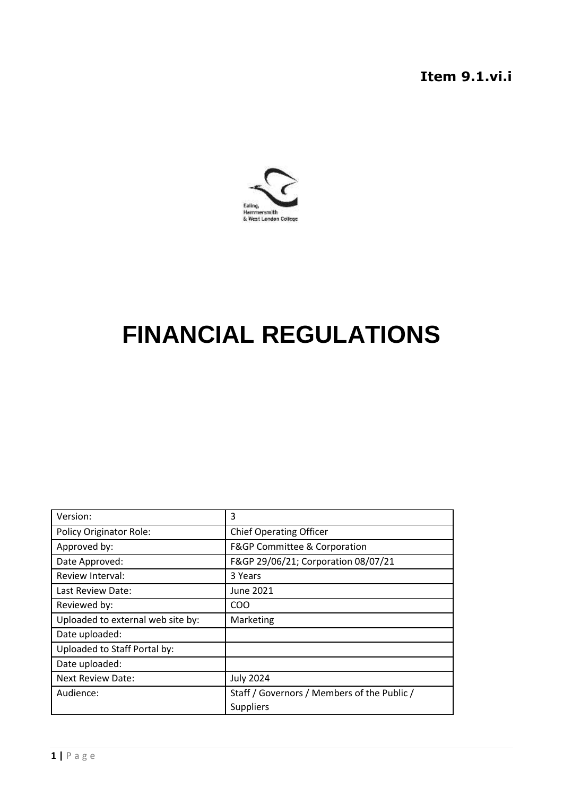**Item 9.1.vi.i**



# **FINANCIAL REGULATIONS**

| Version:                          | 3                                           |
|-----------------------------------|---------------------------------------------|
| <b>Policy Originator Role:</b>    | <b>Chief Operating Officer</b>              |
| Approved by:                      | F&GP Committee & Corporation                |
| Date Approved:                    | F&GP 29/06/21; Corporation 08/07/21         |
| Review Interval:                  | 3 Years                                     |
| Last Review Date:                 | June 2021                                   |
| Reviewed by:                      | <b>COO</b>                                  |
| Uploaded to external web site by: | Marketing                                   |
| Date uploaded:                    |                                             |
| Uploaded to Staff Portal by:      |                                             |
| Date uploaded:                    |                                             |
| <b>Next Review Date:</b>          | <b>July 2024</b>                            |
| Audience:                         | Staff / Governors / Members of the Public / |
|                                   | <b>Suppliers</b>                            |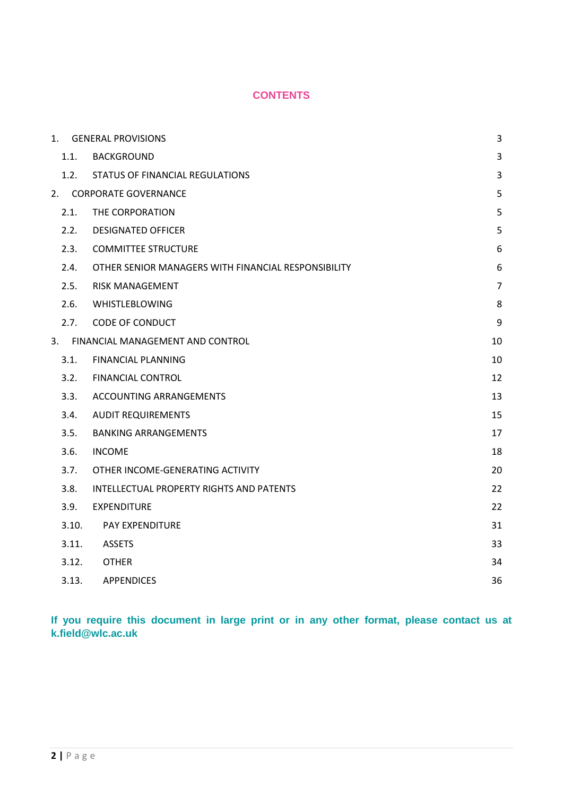# **CONTENTS**

|       | 1. GENERAL PROVISIONS                               | 3              |
|-------|-----------------------------------------------------|----------------|
| 1.1.  | <b>BACKGROUND</b>                                   | 3              |
| 1.2.  | STATUS OF FINANCIAL REGULATIONS                     | 3              |
| 2.    | <b>CORPORATE GOVERNANCE</b>                         | 5              |
| 2.1.  | THE CORPORATION                                     | 5              |
| 2.2.  | <b>DESIGNATED OFFICER</b>                           | 5              |
| 2.3.  | <b>COMMITTEE STRUCTURE</b>                          | 6              |
| 2.4.  | OTHER SENIOR MANAGERS WITH FINANCIAL RESPONSIBILITY | 6              |
| 2.5.  | <b>RISK MANAGEMENT</b>                              | $\overline{7}$ |
| 2.6.  | WHISTLEBLOWING                                      | 8              |
| 2.7.  | <b>CODE OF CONDUCT</b>                              | 9              |
| 3.    | FINANCIAL MANAGEMENT AND CONTROL                    | 10             |
| 3.1.  | <b>FINANCIAL PLANNING</b>                           | 10             |
| 3.2.  | <b>FINANCIAL CONTROL</b>                            | 12             |
| 3.3.  | ACCOUNTING ARRANGEMENTS                             | 13             |
| 3.4.  | <b>AUDIT REQUIREMENTS</b>                           | 15             |
| 3.5.  | <b>BANKING ARRANGEMENTS</b>                         | 17             |
| 3.6.  | <b>INCOME</b>                                       | 18             |
| 3.7.  | OTHER INCOME-GENERATING ACTIVITY                    | 20             |
| 3.8.  | <b>INTELLECTUAL PROPERTY RIGHTS AND PATENTS</b>     | 22             |
| 3.9.  | <b>EXPENDITURE</b>                                  | 22             |
| 3.10. | PAY EXPENDITURE                                     | 31             |
| 3.11. | <b>ASSETS</b>                                       | 33             |
| 3.12. | <b>OTHER</b>                                        | 34             |
| 3.13. | <b>APPENDICES</b>                                   | 36             |

**If you require this document in large print or in any other format, please contact us at k.field@wlc.ac.uk**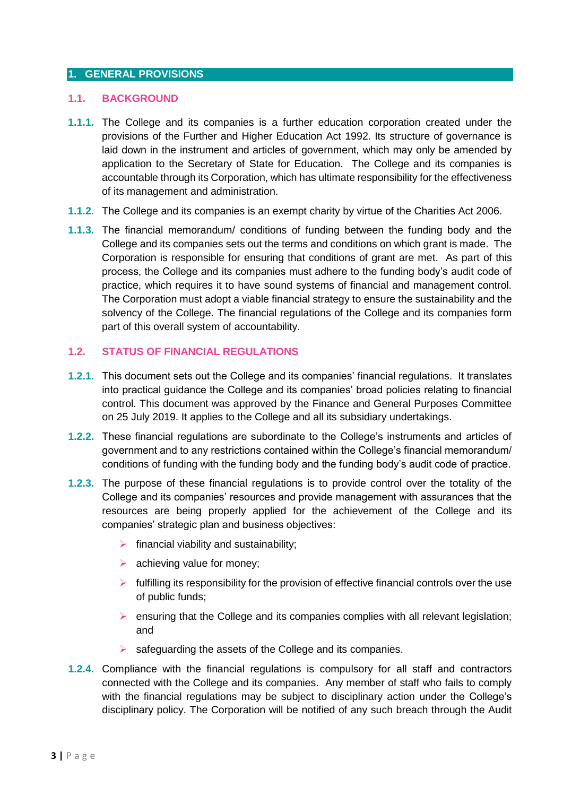# <span id="page-2-0"></span>**1. GENERAL PROVISIONS**

#### <span id="page-2-1"></span>**1.1. BACKGROUND**

- **1.1.1.** The College and its companies is a further education corporation created under the provisions of the Further and Higher Education Act 1992. Its structure of governance is laid down in the instrument and articles of government, which may only be amended by application to the Secretary of State for Education. The College and its companies is accountable through its Corporation, which has ultimate responsibility for the effectiveness of its management and administration.
- **1.1.2.** The College and its companies is an exempt charity by virtue of the Charities Act 2006.
- **1.1.3.** The financial memorandum/ conditions of funding between the funding body and the College and its companies sets out the terms and conditions on which grant is made. The Corporation is responsible for ensuring that conditions of grant are met. As part of this process, the College and its companies must adhere to the funding body's audit code of practice, which requires it to have sound systems of financial and management control. The Corporation must adopt a viable financial strategy to ensure the sustainability and the solvency of the College. The financial regulations of the College and its companies form part of this overall system of accountability.

# <span id="page-2-2"></span>**1.2. STATUS OF FINANCIAL REGULATIONS**

- **1.2.1.** This document sets out the College and its companies' financial regulations. It translates into practical guidance the College and its companies' broad policies relating to financial control. This document was approved by the Finance and General Purposes Committee on 25 July 2019. It applies to the College and all its subsidiary undertakings.
- **1.2.2.** These financial regulations are subordinate to the College's instruments and articles of government and to any restrictions contained within the College's financial memorandum/ conditions of funding with the funding body and the funding body's audit code of practice.
- **1.2.3.** The purpose of these financial regulations is to provide control over the totality of the College and its companies' resources and provide management with assurances that the resources are being properly applied for the achievement of the College and its companies' strategic plan and business objectives:
	- $\triangleright$  financial viability and sustainability;
	- $\triangleright$  achieving value for money;
	- $\triangleright$  fulfilling its responsibility for the provision of effective financial controls over the use of public funds;
	- $\triangleright$  ensuring that the College and its companies complies with all relevant legislation; and
	- $\triangleright$  safeguarding the assets of the College and its companies.
- **1.2.4.** Compliance with the financial regulations is compulsory for all staff and contractors connected with the College and its companies. Any member of staff who fails to comply with the financial regulations may be subject to disciplinary action under the College's disciplinary policy. The Corporation will be notified of any such breach through the Audit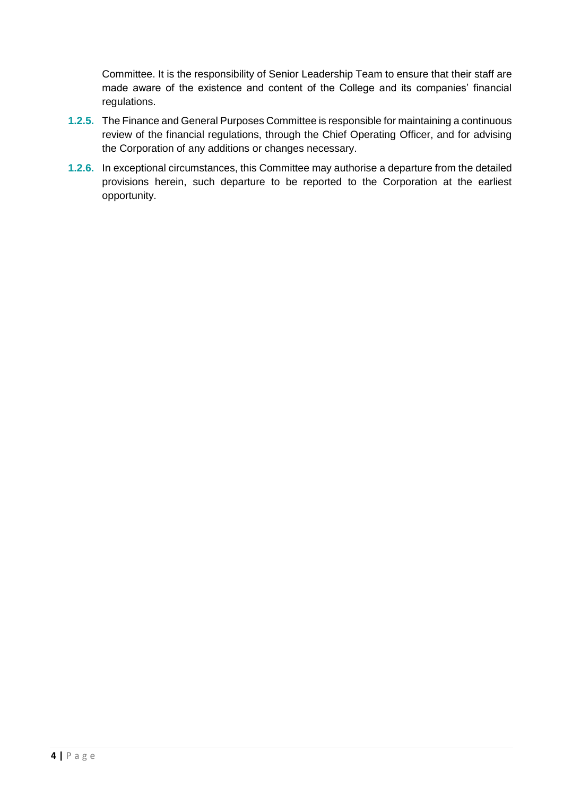Committee. It is the responsibility of Senior Leadership Team to ensure that their staff are made aware of the existence and content of the College and its companies' financial regulations.

- **1.2.5.** The Finance and General Purposes Committee is responsible for maintaining a continuous review of the financial regulations, through the Chief Operating Officer, and for advising the Corporation of any additions or changes necessary.
- **1.2.6.** In exceptional circumstances, this Committee may authorise a departure from the detailed provisions herein, such departure to be reported to the Corporation at the earliest opportunity.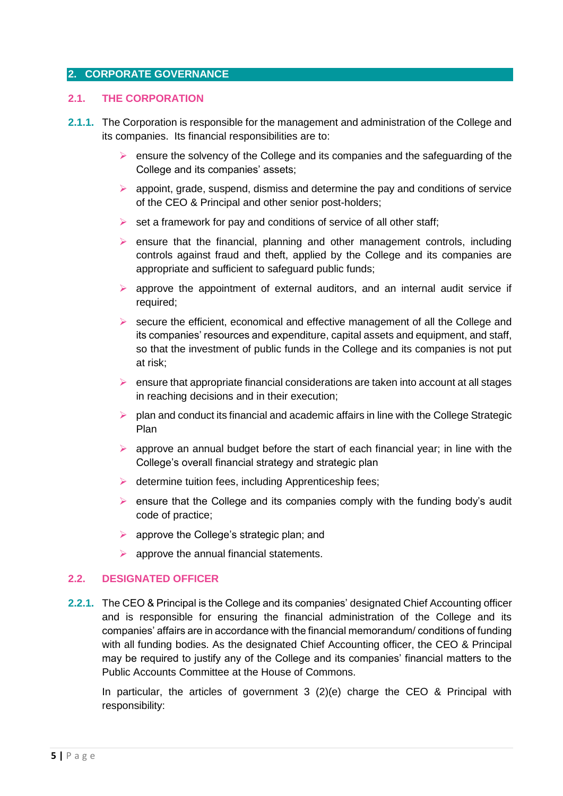#### <span id="page-4-0"></span>**2. CORPORATE GOVERNANCE**

#### <span id="page-4-1"></span>**2.1. THE CORPORATION**

- **2.1.1.** The Corporation is responsible for the management and administration of the College and its companies. Its financial responsibilities are to:
	- $\triangleright$  ensure the solvency of the College and its companies and the safeguarding of the College and its companies' assets;
	- $\triangleright$  appoint, grade, suspend, dismiss and determine the pay and conditions of service of the CEO & Principal and other senior post-holders;
	- $\triangleright$  set a framework for pay and conditions of service of all other staff;
	- $\triangleright$  ensure that the financial, planning and other management controls, including controls against fraud and theft, applied by the College and its companies are appropriate and sufficient to safeguard public funds;
	- $\triangleright$  approve the appointment of external auditors, and an internal audit service if required;
	- $\triangleright$  secure the efficient, economical and effective management of all the College and its companies' resources and expenditure, capital assets and equipment, and staff, so that the investment of public funds in the College and its companies is not put at risk;
	- $\triangleright$  ensure that appropriate financial considerations are taken into account at all stages in reaching decisions and in their execution;
	- $\triangleright$  plan and conduct its financial and academic affairs in line with the College Strategic Plan
	- $\triangleright$  approve an annual budget before the start of each financial year; in line with the College's overall financial strategy and strategic plan
	- $\triangleright$  determine tuition fees, including Apprenticeship fees;
	- $\triangleright$  ensure that the College and its companies comply with the funding body's audit code of practice;
	- $\triangleright$  approve the College's strategic plan; and
	- $\triangleright$  approve the annual financial statements.

#### <span id="page-4-2"></span>**2.2. DESIGNATED OFFICER**

**2.2.1.** The CEO & Principal is the College and its companies' designated Chief Accounting officer and is responsible for ensuring the financial administration of the College and its companies' affairs are in accordance with the financial memorandum/ conditions of funding with all funding bodies. As the designated Chief Accounting officer, the CEO & Principal may be required to justify any of the College and its companies' financial matters to the Public Accounts Committee at the House of Commons.

In particular, the articles of government 3 (2)(e) charge the CEO & Principal with responsibility: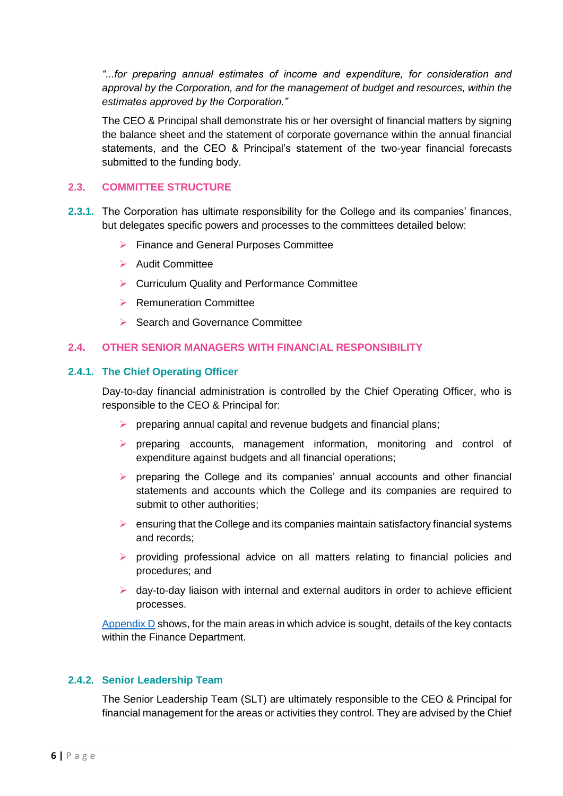*"...for preparing annual estimates of income and expenditure, for consideration and approval by the Corporation, and for the management of budget and resources, within the estimates approved by the Corporation."*

The CEO & Principal shall demonstrate his or her oversight of financial matters by signing the balance sheet and the statement of corporate governance within the annual financial statements, and the CEO & Principal's statement of the two-year financial forecasts submitted to the funding body.

#### <span id="page-5-0"></span>**2.3. COMMITTEE STRUCTURE**

- **2.3.1.** The Corporation has ultimate responsibility for the College and its companies' finances, but delegates specific powers and processes to the committees detailed below:
	- **Finance and General Purposes Committee**
	- $\triangleright$  Audit Committee
	- ▶ Curriculum Quality and Performance Committee
	- $\triangleright$  Remuneration Committee
	- Search and Governance Committee

# <span id="page-5-1"></span>**2.4. OTHER SENIOR MANAGERS WITH FINANCIAL RESPONSIBILITY**

# **2.4.1. The Chief Operating Officer**

Day-to-day financial administration is controlled by the Chief Operating Officer, who is responsible to the CEO & Principal for:

- $\triangleright$  preparing annual capital and revenue budgets and financial plans;
- $\triangleright$  preparing accounts, management information, monitoring and control of expenditure against budgets and all financial operations;
- $\triangleright$  preparing the College and its companies' annual accounts and other financial statements and accounts which the College and its companies are required to submit to other authorities;
- $\triangleright$  ensuring that the College and its companies maintain satisfactory financial systems and records;
- $\triangleright$  providing professional advice on all matters relating to financial policies and procedures; and
- $\triangleright$  day-to-day liaison with internal and external auditors in order to achieve efficient processes.

[Appendix D](#page-36-0) shows, for the main areas in which advice is sought, details of the key contacts within the Finance Department.

#### **2.4.2. Senior Leadership Team**

The Senior Leadership Team (SLT) are ultimately responsible to the CEO & Principal for financial management for the areas or activities they control. They are advised by the Chief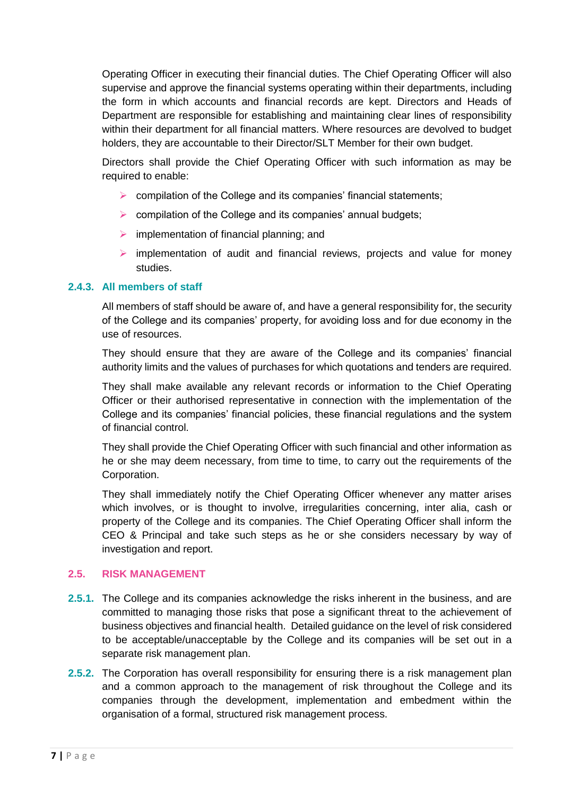Operating Officer in executing their financial duties. The Chief Operating Officer will also supervise and approve the financial systems operating within their departments, including the form in which accounts and financial records are kept. Directors and Heads of Department are responsible for establishing and maintaining clear lines of responsibility within their department for all financial matters. Where resources are devolved to budget holders, they are accountable to their Director/SLT Member for their own budget.

Directors shall provide the Chief Operating Officer with such information as may be required to enable:

- $\triangleright$  compilation of the College and its companies' financial statements;
- $\triangleright$  compilation of the College and its companies' annual budgets;
- $\triangleright$  implementation of financial planning; and
- $\triangleright$  implementation of audit and financial reviews, projects and value for money studies.

# **2.4.3. All members of staff**

All members of staff should be aware of, and have a general responsibility for, the security of the College and its companies' property, for avoiding loss and for due economy in the use of resources.

They should ensure that they are aware of the College and its companies' financial authority limits and the values of purchases for which quotations and tenders are required.

They shall make available any relevant records or information to the Chief Operating Officer or their authorised representative in connection with the implementation of the College and its companies' financial policies, these financial regulations and the system of financial control.

They shall provide the Chief Operating Officer with such financial and other information as he or she may deem necessary, from time to time, to carry out the requirements of the Corporation.

They shall immediately notify the Chief Operating Officer whenever any matter arises which involves, or is thought to involve, irregularities concerning, inter alia, cash or property of the College and its companies. The Chief Operating Officer shall inform the CEO & Principal and take such steps as he or she considers necessary by way of investigation and report.

#### <span id="page-6-0"></span>**2.5. RISK MANAGEMENT**

- **2.5.1.** The College and its companies acknowledge the risks inherent in the business, and are committed to managing those risks that pose a significant threat to the achievement of business objectives and financial health. Detailed guidance on the level of risk considered to be acceptable/unacceptable by the College and its companies will be set out in a separate risk management plan.
- **2.5.2.** The Corporation has overall responsibility for ensuring there is a risk management plan and a common approach to the management of risk throughout the College and its companies through the development, implementation and embedment within the organisation of a formal, structured risk management process.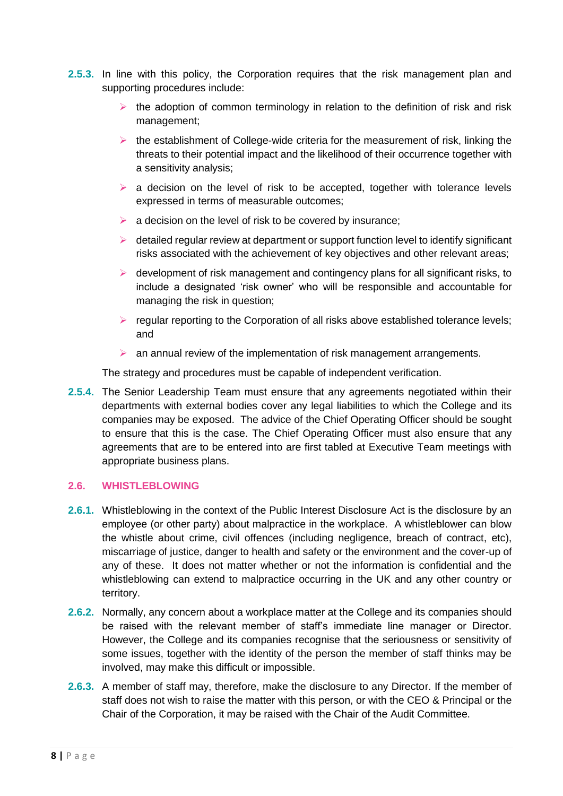- **2.5.3.** In line with this policy, the Corporation requires that the risk management plan and supporting procedures include:
	- $\triangleright$  the adoption of common terminology in relation to the definition of risk and risk management;
	- $\triangleright$  the establishment of College-wide criteria for the measurement of risk, linking the threats to their potential impact and the likelihood of their occurrence together with a sensitivity analysis;
	- $\triangleright$  a decision on the level of risk to be accepted, together with tolerance levels expressed in terms of measurable outcomes;
	- $\triangleright$  a decision on the level of risk to be covered by insurance;
	- $\triangleright$  detailed regular review at department or support function level to identify significant risks associated with the achievement of key objectives and other relevant areas;
	- $\triangleright$  development of risk management and contingency plans for all significant risks, to include a designated 'risk owner' who will be responsible and accountable for managing the risk in question;
	- $\triangleright$  regular reporting to the Corporation of all risks above established tolerance levels; and
	- $\triangleright$  an annual review of the implementation of risk management arrangements.

The strategy and procedures must be capable of independent verification.

**2.5.4.** The Senior Leadership Team must ensure that any agreements negotiated within their departments with external bodies cover any legal liabilities to which the College and its companies may be exposed. The advice of the Chief Operating Officer should be sought to ensure that this is the case. The Chief Operating Officer must also ensure that any agreements that are to be entered into are first tabled at Executive Team meetings with appropriate business plans.

#### <span id="page-7-0"></span>**2.6. WHISTLEBLOWING**

- **2.6.1.** Whistleblowing in the context of the Public Interest Disclosure Act is the disclosure by an employee (or other party) about malpractice in the workplace. A whistleblower can blow the whistle about crime, civil offences (including negligence, breach of contract, etc), miscarriage of justice, danger to health and safety or the environment and the cover-up of any of these. It does not matter whether or not the information is confidential and the whistleblowing can extend to malpractice occurring in the UK and any other country or territory.
- **2.6.2.** Normally, any concern about a workplace matter at the College and its companies should be raised with the relevant member of staff's immediate line manager or Director. However, the College and its companies recognise that the seriousness or sensitivity of some issues, together with the identity of the person the member of staff thinks may be involved, may make this difficult or impossible.
- **2.6.3.** A member of staff may, therefore, make the disclosure to any Director. If the member of staff does not wish to raise the matter with this person, or with the CEO & Principal or the Chair of the Corporation, it may be raised with the Chair of the Audit Committee.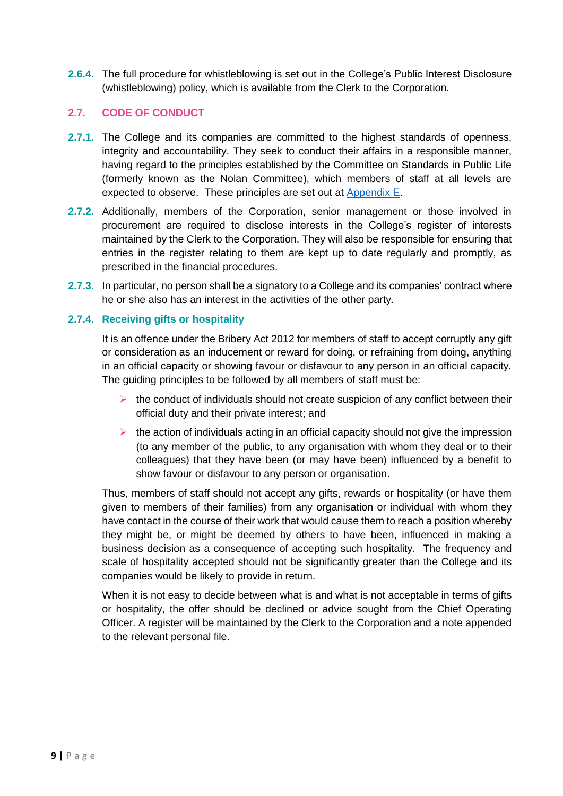**2.6.4.** The full procedure for whistleblowing is set out in the College's Public Interest Disclosure (whistleblowing) policy, which is available from the Clerk to the Corporation.

# <span id="page-8-0"></span>**2.7. CODE OF CONDUCT**

- **2.7.1.** The College and its companies are committed to the highest standards of openness, integrity and accountability. They seek to conduct their affairs in a responsible manner, having regard to the principles established by the Committee on Standards in Public Life (formerly known as the Nolan Committee), which members of staff at all levels are expected to observe. These principles are set out at [Appendix E.](#page-36-1)
- **2.7.2.** Additionally, members of the Corporation, senior management or those involved in procurement are required to disclose interests in the College's register of interests maintained by the Clerk to the Corporation. They will also be responsible for ensuring that entries in the register relating to them are kept up to date regularly and promptly, as prescribed in the financial procedures.
- **2.7.3.** In particular, no person shall be a signatory to a College and its companies' contract where he or she also has an interest in the activities of the other party.

# **2.7.4. Receiving gifts or hospitality**

It is an offence under the Bribery Act 2012 for members of staff to accept corruptly any gift or consideration as an inducement or reward for doing, or refraining from doing, anything in an official capacity or showing favour or disfavour to any person in an official capacity. The guiding principles to be followed by all members of staff must be:

- $\triangleright$  the conduct of individuals should not create suspicion of any conflict between their official duty and their private interest; and
- $\triangleright$  the action of individuals acting in an official capacity should not give the impression (to any member of the public, to any organisation with whom they deal or to their colleagues) that they have been (or may have been) influenced by a benefit to show favour or disfavour to any person or organisation.

Thus, members of staff should not accept any gifts, rewards or hospitality (or have them given to members of their families) from any organisation or individual with whom they have contact in the course of their work that would cause them to reach a position whereby they might be, or might be deemed by others to have been, influenced in making a business decision as a consequence of accepting such hospitality. The frequency and scale of hospitality accepted should not be significantly greater than the College and its companies would be likely to provide in return.

When it is not easy to decide between what is and what is not acceptable in terms of gifts or hospitality, the offer should be declined or advice sought from the Chief Operating Officer. A register will be maintained by the Clerk to the Corporation and a note appended to the relevant personal file.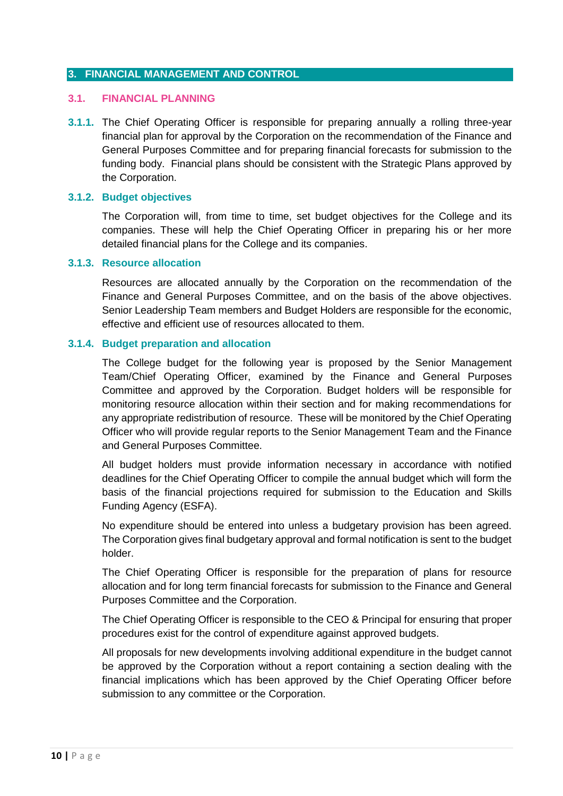#### <span id="page-9-0"></span>**3. FINANCIAL MANAGEMENT AND CONTROL**

#### <span id="page-9-1"></span>**3.1. FINANCIAL PLANNING**

**3.1.1.** The Chief Operating Officer is responsible for preparing annually a rolling three-year financial plan for approval by the Corporation on the recommendation of the Finance and General Purposes Committee and for preparing financial forecasts for submission to the funding body. Financial plans should be consistent with the Strategic Plans approved by the Corporation.

#### **3.1.2. Budget objectives**

The Corporation will, from time to time, set budget objectives for the College and its companies. These will help the Chief Operating Officer in preparing his or her more detailed financial plans for the College and its companies.

#### **3.1.3. Resource allocation**

Resources are allocated annually by the Corporation on the recommendation of the Finance and General Purposes Committee, and on the basis of the above objectives. Senior Leadership Team members and Budget Holders are responsible for the economic, effective and efficient use of resources allocated to them.

#### **3.1.4. Budget preparation and allocation**

The College budget for the following year is proposed by the Senior Management Team/Chief Operating Officer, examined by the Finance and General Purposes Committee and approved by the Corporation. Budget holders will be responsible for monitoring resource allocation within their section and for making recommendations for any appropriate redistribution of resource. These will be monitored by the Chief Operating Officer who will provide regular reports to the Senior Management Team and the Finance and General Purposes Committee.

All budget holders must provide information necessary in accordance with notified deadlines for the Chief Operating Officer to compile the annual budget which will form the basis of the financial projections required for submission to the Education and Skills Funding Agency (ESFA).

No expenditure should be entered into unless a budgetary provision has been agreed. The Corporation gives final budgetary approval and formal notification is sent to the budget holder.

The Chief Operating Officer is responsible for the preparation of plans for resource allocation and for long term financial forecasts for submission to the Finance and General Purposes Committee and the Corporation.

The Chief Operating Officer is responsible to the CEO & Principal for ensuring that proper procedures exist for the control of expenditure against approved budgets.

All proposals for new developments involving additional expenditure in the budget cannot be approved by the Corporation without a report containing a section dealing with the financial implications which has been approved by the Chief Operating Officer before submission to any committee or the Corporation.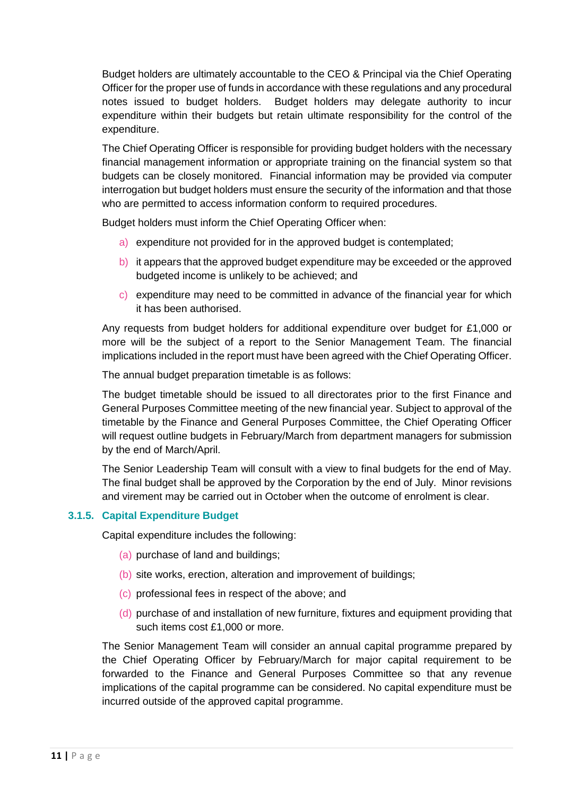Budget holders are ultimately accountable to the CEO & Principal via the Chief Operating Officer for the proper use of funds in accordance with these regulations and any procedural notes issued to budget holders. Budget holders may delegate authority to incur expenditure within their budgets but retain ultimate responsibility for the control of the expenditure.

The Chief Operating Officer is responsible for providing budget holders with the necessary financial management information or appropriate training on the financial system so that budgets can be closely monitored. Financial information may be provided via computer interrogation but budget holders must ensure the security of the information and that those who are permitted to access information conform to required procedures.

Budget holders must inform the Chief Operating Officer when:

- a) expenditure not provided for in the approved budget is contemplated;
- b) it appears that the approved budget expenditure may be exceeded or the approved budgeted income is unlikely to be achieved; and
- c) expenditure may need to be committed in advance of the financial year for which it has been authorised.

Any requests from budget holders for additional expenditure over budget for £1,000 or more will be the subject of a report to the Senior Management Team. The financial implications included in the report must have been agreed with the Chief Operating Officer.

The annual budget preparation timetable is as follows:

The budget timetable should be issued to all directorates prior to the first Finance and General Purposes Committee meeting of the new financial year. Subject to approval of the timetable by the Finance and General Purposes Committee, the Chief Operating Officer will request outline budgets in February/March from department managers for submission by the end of March/April.

The Senior Leadership Team will consult with a view to final budgets for the end of May. The final budget shall be approved by the Corporation by the end of July. Minor revisions and virement may be carried out in October when the outcome of enrolment is clear.

# **3.1.5. Capital Expenditure Budget**

Capital expenditure includes the following:

- (a) purchase of land and buildings;
- (b) site works, erection, alteration and improvement of buildings;
- (c) professional fees in respect of the above; and
- (d) purchase of and installation of new furniture, fixtures and equipment providing that such items cost £1,000 or more.

The Senior Management Team will consider an annual capital programme prepared by the Chief Operating Officer by February/March for major capital requirement to be forwarded to the Finance and General Purposes Committee so that any revenue implications of the capital programme can be considered. No capital expenditure must be incurred outside of the approved capital programme.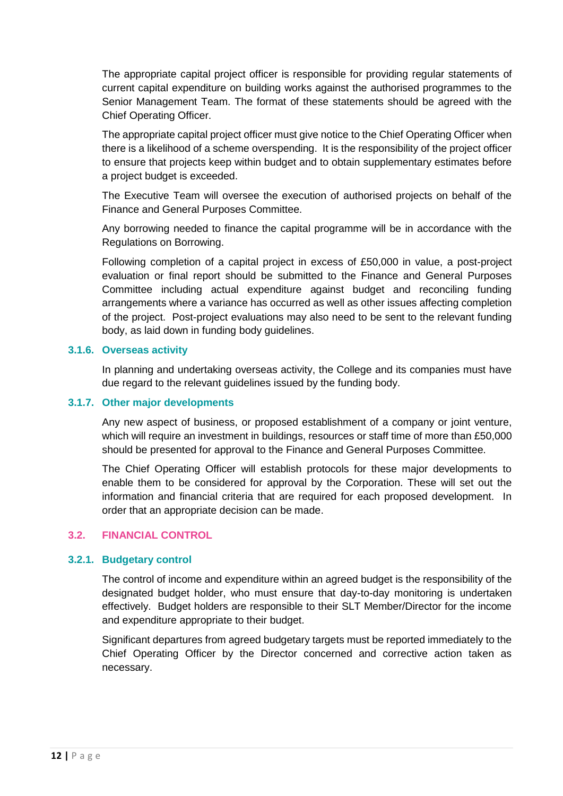The appropriate capital project officer is responsible for providing regular statements of current capital expenditure on building works against the authorised programmes to the Senior Management Team. The format of these statements should be agreed with the Chief Operating Officer.

The appropriate capital project officer must give notice to the Chief Operating Officer when there is a likelihood of a scheme overspending. It is the responsibility of the project officer to ensure that projects keep within budget and to obtain supplementary estimates before a project budget is exceeded.

The Executive Team will oversee the execution of authorised projects on behalf of the Finance and General Purposes Committee.

Any borrowing needed to finance the capital programme will be in accordance with the Regulations on Borrowing.

Following completion of a capital project in excess of £50,000 in value, a post-project evaluation or final report should be submitted to the Finance and General Purposes Committee including actual expenditure against budget and reconciling funding arrangements where a variance has occurred as well as other issues affecting completion of the project. Post-project evaluations may also need to be sent to the relevant funding body, as laid down in funding body guidelines.

#### **3.1.6. Overseas activity**

In planning and undertaking overseas activity, the College and its companies must have due regard to the relevant guidelines issued by the funding body.

#### **3.1.7. Other major developments**

Any new aspect of business, or proposed establishment of a company or joint venture, which will require an investment in buildings, resources or staff time of more than £50,000 should be presented for approval to the Finance and General Purposes Committee.

The Chief Operating Officer will establish protocols for these major developments to enable them to be considered for approval by the Corporation. These will set out the information and financial criteria that are required for each proposed development. In order that an appropriate decision can be made.

# <span id="page-11-0"></span>**3.2. FINANCIAL CONTROL**

#### **3.2.1. Budgetary control**

The control of income and expenditure within an agreed budget is the responsibility of the designated budget holder, who must ensure that day-to-day monitoring is undertaken effectively. Budget holders are responsible to their SLT Member/Director for the income and expenditure appropriate to their budget.

Significant departures from agreed budgetary targets must be reported immediately to the Chief Operating Officer by the Director concerned and corrective action taken as necessary.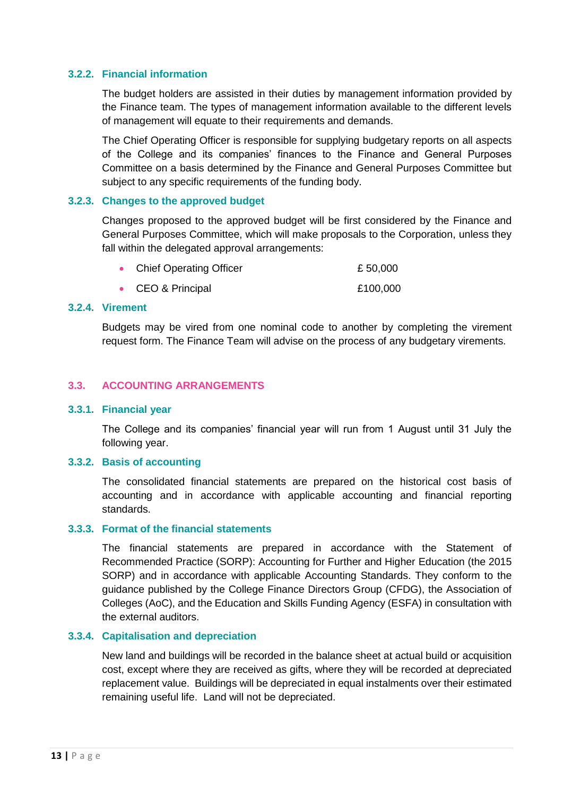#### **3.2.2. Financial information**

The budget holders are assisted in their duties by management information provided by the Finance team. The types of management information available to the different levels of management will equate to their requirements and demands.

The Chief Operating Officer is responsible for supplying budgetary reports on all aspects of the College and its companies' finances to the Finance and General Purposes Committee on a basis determined by the Finance and General Purposes Committee but subject to any specific requirements of the funding body.

#### **3.2.3. Changes to the approved budget**

Changes proposed to the approved budget will be first considered by the Finance and General Purposes Committee, which will make proposals to the Corporation, unless they fall within the delegated approval arrangements:

| <b>Chief Operating Officer</b> | £50,000 |
|--------------------------------|---------|

● CEO & Principal 2100,000

# **3.2.4. Virement**

Budgets may be vired from one nominal code to another by completing the virement request form. The Finance Team will advise on the process of any budgetary virements.

#### <span id="page-12-0"></span>**3.3. ACCOUNTING ARRANGEMENTS**

#### **3.3.1. Financial year**

The College and its companies' financial year will run from 1 August until 31 July the following year.

#### **3.3.2. Basis of accounting**

The consolidated financial statements are prepared on the historical cost basis of accounting and in accordance with applicable accounting and financial reporting standards.

#### **3.3.3. Format of the financial statements**

The financial statements are prepared in accordance with the Statement of Recommended Practice (SORP): Accounting for Further and Higher Education (the 2015 SORP) and in accordance with applicable Accounting Standards. They conform to the guidance published by the College Finance Directors Group (CFDG), the Association of Colleges (AoC), and the Education and Skills Funding Agency (ESFA) in consultation with the external auditors.

#### **3.3.4. Capitalisation and depreciation**

New land and buildings will be recorded in the balance sheet at actual build or acquisition cost, except where they are received as gifts, where they will be recorded at depreciated replacement value. Buildings will be depreciated in equal instalments over their estimated remaining useful life. Land will not be depreciated.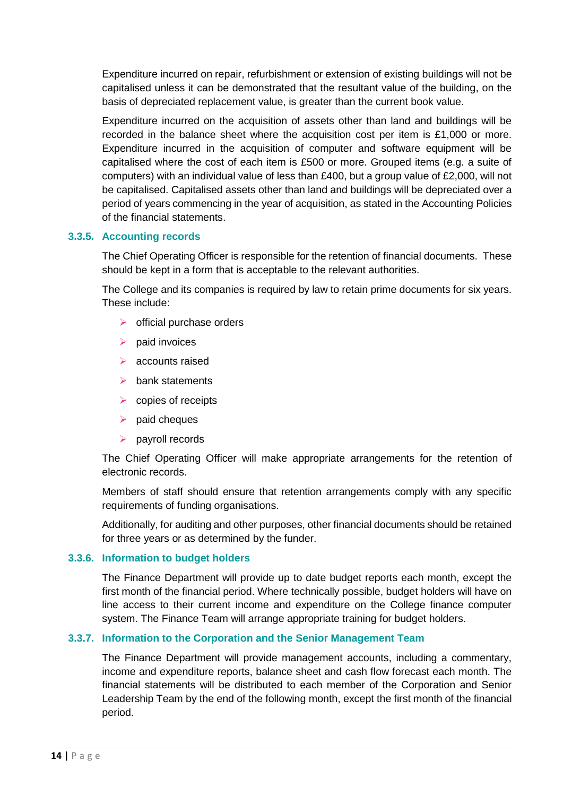Expenditure incurred on repair, refurbishment or extension of existing buildings will not be capitalised unless it can be demonstrated that the resultant value of the building, on the basis of depreciated replacement value, is greater than the current book value.

Expenditure incurred on the acquisition of assets other than land and buildings will be recorded in the balance sheet where the acquisition cost per item is £1,000 or more. Expenditure incurred in the acquisition of computer and software equipment will be capitalised where the cost of each item is £500 or more. Grouped items (e.g. a suite of computers) with an individual value of less than £400, but a group value of £2,000, will not be capitalised. Capitalised assets other than land and buildings will be depreciated over a period of years commencing in the year of acquisition, as stated in the Accounting Policies of the financial statements.

#### **3.3.5. Accounting records**

The Chief Operating Officer is responsible for the retention of financial documents. These should be kept in a form that is acceptable to the relevant authorities.

The College and its companies is required by law to retain prime documents for six years. These include:

- $\triangleright$  official purchase orders
- $\triangleright$  paid invoices
- $\triangleright$  accounts raised
- $\triangleright$  bank statements
- $\triangleright$  copies of receipts
- $\triangleright$  paid cheques
- $\triangleright$  payroll records

The Chief Operating Officer will make appropriate arrangements for the retention of electronic records.

Members of staff should ensure that retention arrangements comply with any specific requirements of funding organisations.

Additionally, for auditing and other purposes, other financial documents should be retained for three years or as determined by the funder.

#### **3.3.6. Information to budget holders**

The Finance Department will provide up to date budget reports each month, except the first month of the financial period. Where technically possible, budget holders will have on line access to their current income and expenditure on the College finance computer system. The Finance Team will arrange appropriate training for budget holders.

#### **3.3.7. Information to the Corporation and the Senior Management Team**

The Finance Department will provide management accounts, including a commentary, income and expenditure reports, balance sheet and cash flow forecast each month. The financial statements will be distributed to each member of the Corporation and Senior Leadership Team by the end of the following month, except the first month of the financial period.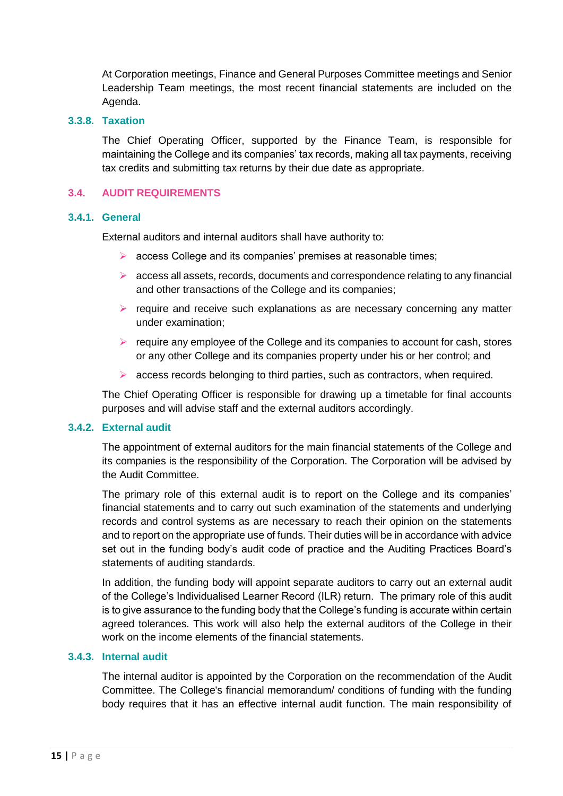At Corporation meetings, Finance and General Purposes Committee meetings and Senior Leadership Team meetings, the most recent financial statements are included on the Agenda.

#### **3.3.8. Taxation**

The Chief Operating Officer, supported by the Finance Team, is responsible for maintaining the College and its companies' tax records, making all tax payments, receiving tax credits and submitting tax returns by their due date as appropriate.

#### <span id="page-14-0"></span>**3.4. AUDIT REQUIREMENTS**

#### **3.4.1. General**

External auditors and internal auditors shall have authority to:

- $\triangleright$  access College and its companies' premises at reasonable times;
- $\triangleright$  access all assets, records, documents and correspondence relating to any financial and other transactions of the College and its companies;
- $\triangleright$  require and receive such explanations as are necessary concerning any matter under examination;
- $\triangleright$  require any employee of the College and its companies to account for cash, stores or any other College and its companies property under his or her control; and
- $\triangleright$  access records belonging to third parties, such as contractors, when required.

The Chief Operating Officer is responsible for drawing up a timetable for final accounts purposes and will advise staff and the external auditors accordingly.

# **3.4.2. External audit**

The appointment of external auditors for the main financial statements of the College and its companies is the responsibility of the Corporation. The Corporation will be advised by the Audit Committee.

The primary role of this external audit is to report on the College and its companies' financial statements and to carry out such examination of the statements and underlying records and control systems as are necessary to reach their opinion on the statements and to report on the appropriate use of funds. Their duties will be in accordance with advice set out in the funding body's audit code of practice and the Auditing Practices Board's statements of auditing standards.

In addition, the funding body will appoint separate auditors to carry out an external audit of the College's Individualised Learner Record (ILR) return. The primary role of this audit is to give assurance to the funding body that the College's funding is accurate within certain agreed tolerances. This work will also help the external auditors of the College in their work on the income elements of the financial statements.

#### **3.4.3. Internal audit**

The internal auditor is appointed by the Corporation on the recommendation of the Audit Committee. The College's financial memorandum/ conditions of funding with the funding body requires that it has an effective internal audit function. The main responsibility of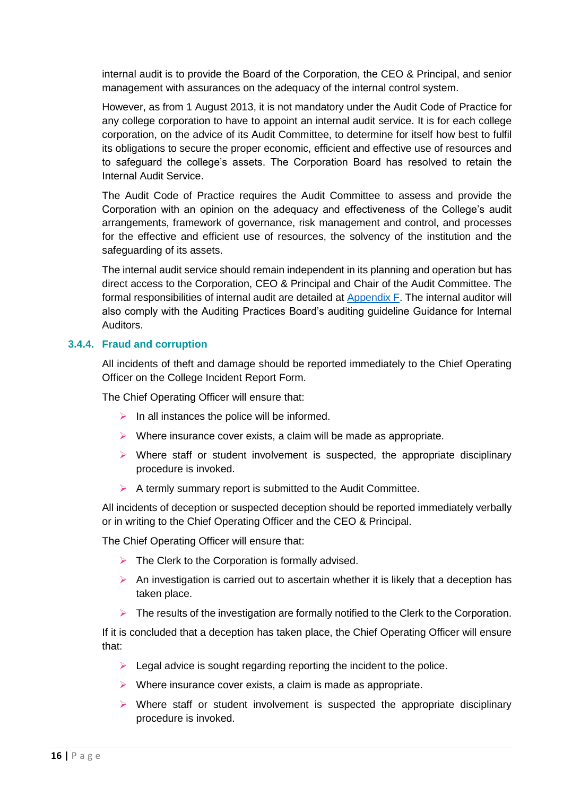internal audit is to provide the Board of the Corporation, the CEO & Principal, and senior management with assurances on the adequacy of the internal control system.

However, as from 1 August 2013, it is not mandatory under the Audit Code of Practice for any college corporation to have to appoint an internal audit service. It is for each college corporation, on the advice of its Audit Committee, to determine for itself how best to fulfil its obligations to secure the proper economic, efficient and effective use of resources and to safeguard the college's assets. The Corporation Board has resolved to retain the Internal Audit Service.

The Audit Code of Practice requires the Audit Committee to assess and provide the Corporation with an opinion on the adequacy and effectiveness of the College's audit arrangements, framework of governance, risk management and control, and processes for the effective and efficient use of resources, the solvency of the institution and the safeguarding of its assets.

The internal audit service should remain independent in its planning and operation but has direct access to the Corporation, CEO & Principal and Chair of the Audit Committee. The formal responsibilities of internal audit are detailed at [Appendix F.](#page-37-0) The internal auditor will also comply with the Auditing Practices Board's auditing guideline Guidance for Internal Auditors.

#### **3.4.4. Fraud and corruption**

All incidents of theft and damage should be reported immediately to the Chief Operating Officer on the College Incident Report Form.

The Chief Operating Officer will ensure that:

- $\triangleright$  In all instances the police will be informed.
- $\triangleright$  Where insurance cover exists, a claim will be made as appropriate.
- $\triangleright$  Where staff or student involvement is suspected, the appropriate disciplinary procedure is invoked.
- $\triangleright$  A termly summary report is submitted to the Audit Committee.

All incidents of deception or suspected deception should be reported immediately verbally or in writing to the Chief Operating Officer and the CEO & Principal.

The Chief Operating Officer will ensure that:

- $\triangleright$  The Clerk to the Corporation is formally advised.
- $\triangleright$  An investigation is carried out to ascertain whether it is likely that a deception has taken place.
- $\triangleright$  The results of the investigation are formally notified to the Clerk to the Corporation.

If it is concluded that a deception has taken place, the Chief Operating Officer will ensure that:

- $\triangleright$  Legal advice is sought regarding reporting the incident to the police.
- $\triangleright$  Where insurance cover exists, a claim is made as appropriate.
- $\triangleright$  Where staff or student involvement is suspected the appropriate disciplinary procedure is invoked.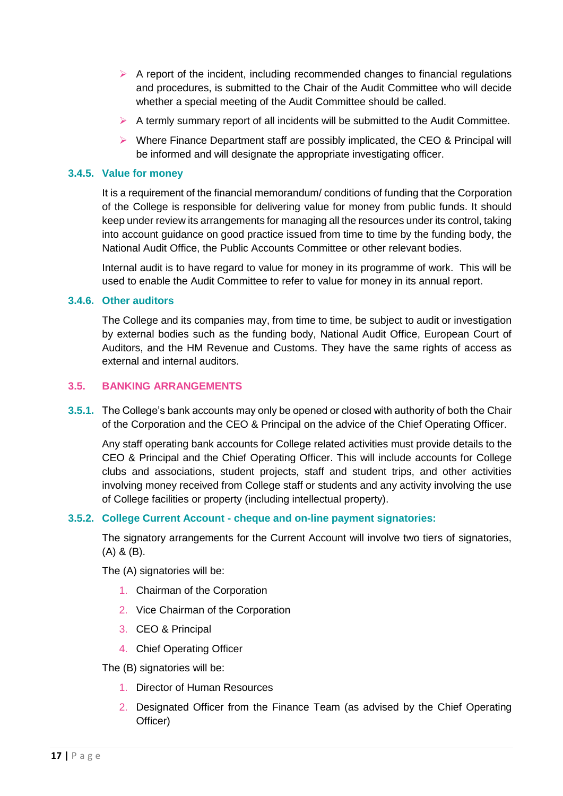- $\triangleright$  A report of the incident, including recommended changes to financial regulations and procedures, is submitted to the Chair of the Audit Committee who will decide whether a special meeting of the Audit Committee should be called.
- $\triangleright$  A termly summary report of all incidents will be submitted to the Audit Committee.
- $\triangleright$  Where Finance Department staff are possibly implicated, the CEO & Principal will be informed and will designate the appropriate investigating officer.

### **3.4.5. Value for money**

It is a requirement of the financial memorandum/ conditions of funding that the Corporation of the College is responsible for delivering value for money from public funds. It should keep under review its arrangements for managing all the resources under its control, taking into account guidance on good practice issued from time to time by the funding body, the National Audit Office, the Public Accounts Committee or other relevant bodies.

Internal audit is to have regard to value for money in its programme of work. This will be used to enable the Audit Committee to refer to value for money in its annual report.

#### **3.4.6. Other auditors**

The College and its companies may, from time to time, be subject to audit or investigation by external bodies such as the funding body, National Audit Office, European Court of Auditors, and the HM Revenue and Customs. They have the same rights of access as external and internal auditors.

#### <span id="page-16-0"></span>**3.5. BANKING ARRANGEMENTS**

**3.5.1.** The College's bank accounts may only be opened or closed with authority of both the Chair of the Corporation and the CEO & Principal on the advice of the Chief Operating Officer.

Any staff operating bank accounts for College related activities must provide details to the CEO & Principal and the Chief Operating Officer. This will include accounts for College clubs and associations, student projects, staff and student trips, and other activities involving money received from College staff or students and any activity involving the use of College facilities or property (including intellectual property).

# **3.5.2. College Current Account - cheque and on-line payment signatories:**

The signatory arrangements for the Current Account will involve two tiers of signatories, (A) & (B).

The (A) signatories will be:

- 1. Chairman of the Corporation
- 2. Vice Chairman of the Corporation
- 3. CEO & Principal
- 4. Chief Operating Officer

The (B) signatories will be:

- 1. Director of Human Resources
- 2. Designated Officer from the Finance Team (as advised by the Chief Operating Officer)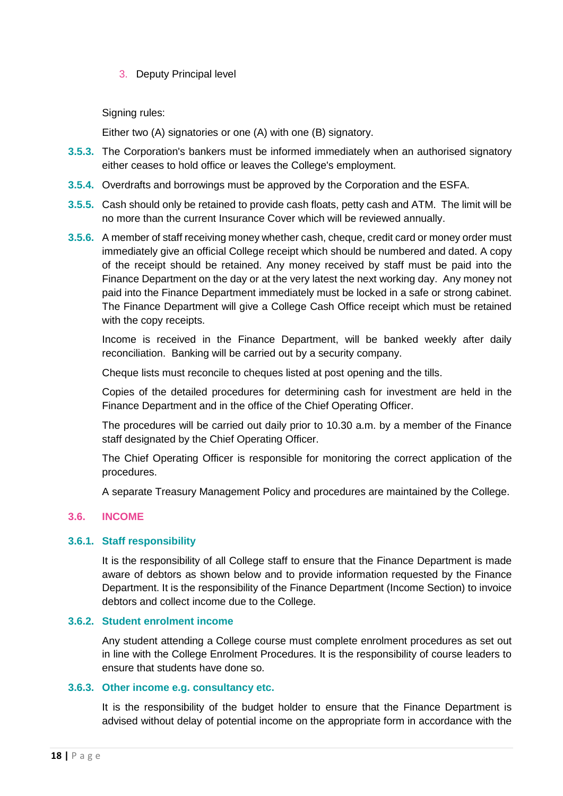3. Deputy Principal level

Signing rules:

Either two (A) signatories or one (A) with one (B) signatory.

- **3.5.3.** The Corporation's bankers must be informed immediately when an authorised signatory either ceases to hold office or leaves the College's employment.
- **3.5.4.** Overdrafts and borrowings must be approved by the Corporation and the ESFA.
- **3.5.5.** Cash should only be retained to provide cash floats, petty cash and ATM. The limit will be no more than the current Insurance Cover which will be reviewed annually.
- **3.5.6.** A member of staff receiving money whether cash, cheque, credit card or money order must immediately give an official College receipt which should be numbered and dated. A copy of the receipt should be retained. Any money received by staff must be paid into the Finance Department on the day or at the very latest the next working day. Any money not paid into the Finance Department immediately must be locked in a safe or strong cabinet. The Finance Department will give a College Cash Office receipt which must be retained with the copy receipts.

Income is received in the Finance Department, will be banked weekly after daily reconciliation. Banking will be carried out by a security company.

Cheque lists must reconcile to cheques listed at post opening and the tills.

Copies of the detailed procedures for determining cash for investment are held in the Finance Department and in the office of the Chief Operating Officer.

The procedures will be carried out daily prior to 10.30 a.m. by a member of the Finance staff designated by the Chief Operating Officer.

The Chief Operating Officer is responsible for monitoring the correct application of the procedures.

A separate Treasury Management Policy and procedures are maintained by the College.

#### <span id="page-17-0"></span>**3.6. INCOME**

#### **3.6.1. Staff responsibility**

It is the responsibility of all College staff to ensure that the Finance Department is made aware of debtors as shown below and to provide information requested by the Finance Department. It is the responsibility of the Finance Department (Income Section) to invoice debtors and collect income due to the College.

#### **3.6.2. Student enrolment income**

Any student attending a College course must complete enrolment procedures as set out in line with the College Enrolment Procedures. It is the responsibility of course leaders to ensure that students have done so.

#### **3.6.3. Other income e.g. consultancy etc.**

It is the responsibility of the budget holder to ensure that the Finance Department is advised without delay of potential income on the appropriate form in accordance with the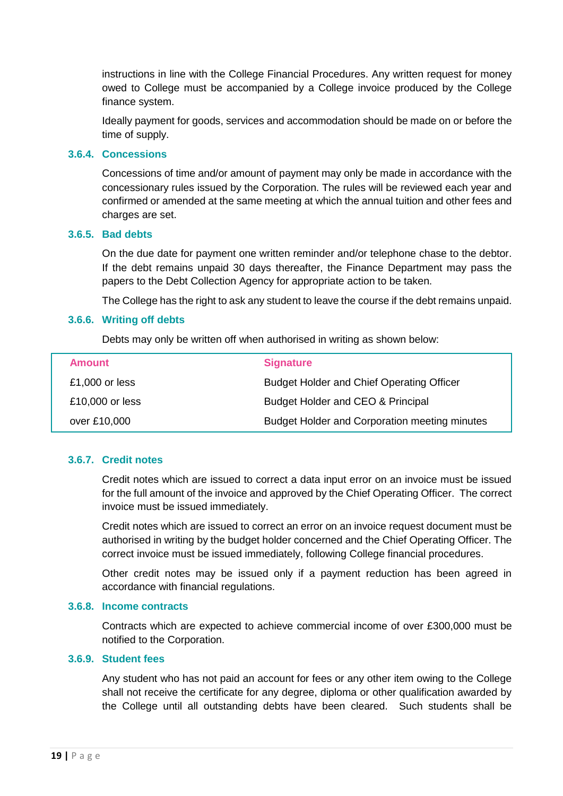instructions in line with the College Financial Procedures. Any written request for money owed to College must be accompanied by a College invoice produced by the College finance system.

Ideally payment for goods, services and accommodation should be made on or before the time of supply.

#### **3.6.4. Concessions**

Concessions of time and/or amount of payment may only be made in accordance with the concessionary rules issued by the Corporation. The rules will be reviewed each year and confirmed or amended at the same meeting at which the annual tuition and other fees and charges are set.

# **3.6.5. Bad debts**

On the due date for payment one written reminder and/or telephone chase to the debtor. If the debt remains unpaid 30 days thereafter, the Finance Department may pass the papers to the Debt Collection Agency for appropriate action to be taken.

The College has the right to ask any student to leave the course if the debt remains unpaid.

#### **3.6.6. Writing off debts**

Debts may only be written off when authorised in writing as shown below:

| <b>Amount</b>   | <b>Signature</b>                                 |
|-----------------|--------------------------------------------------|
| £1,000 or less  | <b>Budget Holder and Chief Operating Officer</b> |
| £10,000 or less | Budget Holder and CEO & Principal                |
| over £10,000    | Budget Holder and Corporation meeting minutes    |

# **3.6.7. Credit notes**

Credit notes which are issued to correct a data input error on an invoice must be issued for the full amount of the invoice and approved by the Chief Operating Officer. The correct invoice must be issued immediately.

Credit notes which are issued to correct an error on an invoice request document must be authorised in writing by the budget holder concerned and the Chief Operating Officer. The correct invoice must be issued immediately, following College financial procedures.

Other credit notes may be issued only if a payment reduction has been agreed in accordance with financial regulations.

#### **3.6.8. Income contracts**

Contracts which are expected to achieve commercial income of over £300,000 must be notified to the Corporation.

#### **3.6.9. Student fees**

Any student who has not paid an account for fees or any other item owing to the College shall not receive the certificate for any degree, diploma or other qualification awarded by the College until all outstanding debts have been cleared. Such students shall be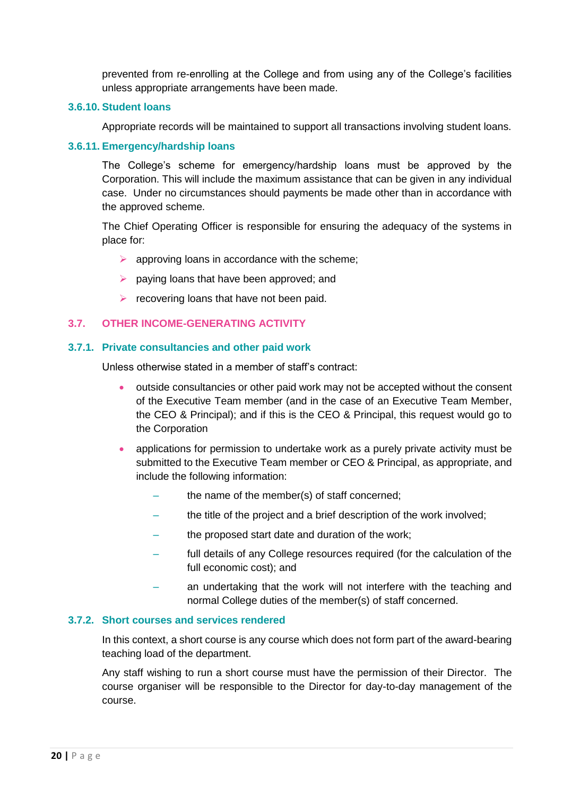prevented from re-enrolling at the College and from using any of the College's facilities unless appropriate arrangements have been made.

#### **3.6.10. Student loans**

Appropriate records will be maintained to support all transactions involving student loans.

#### **3.6.11. Emergency/hardship loans**

The College's scheme for emergency/hardship loans must be approved by the Corporation. This will include the maximum assistance that can be given in any individual case. Under no circumstances should payments be made other than in accordance with the approved scheme.

The Chief Operating Officer is responsible for ensuring the adequacy of the systems in place for:

- $\triangleright$  approving loans in accordance with the scheme;
- $\triangleright$  paying loans that have been approved; and
- $\triangleright$  recovering loans that have not been paid.

# <span id="page-19-0"></span>**3.7. OTHER INCOME-GENERATING ACTIVITY**

#### **3.7.1. Private consultancies and other paid work**

Unless otherwise stated in a member of staff's contract:

- outside consultancies or other paid work may not be accepted without the consent of the Executive Team member (and in the case of an Executive Team Member, the CEO & Principal); and if this is the CEO & Principal, this request would go to the Corporation
- applications for permission to undertake work as a purely private activity must be submitted to the Executive Team member or CEO & Principal, as appropriate, and include the following information:
	- the name of the member(s) of staff concerned;
	- the title of the project and a brief description of the work involved;
	- the proposed start date and duration of the work;
	- full details of any College resources required (for the calculation of the full economic cost); and
	- an undertaking that the work will not interfere with the teaching and normal College duties of the member(s) of staff concerned.

# **3.7.2. Short courses and services rendered**

In this context, a short course is any course which does not form part of the award-bearing teaching load of the department.

Any staff wishing to run a short course must have the permission of their Director. The course organiser will be responsible to the Director for day-to-day management of the course.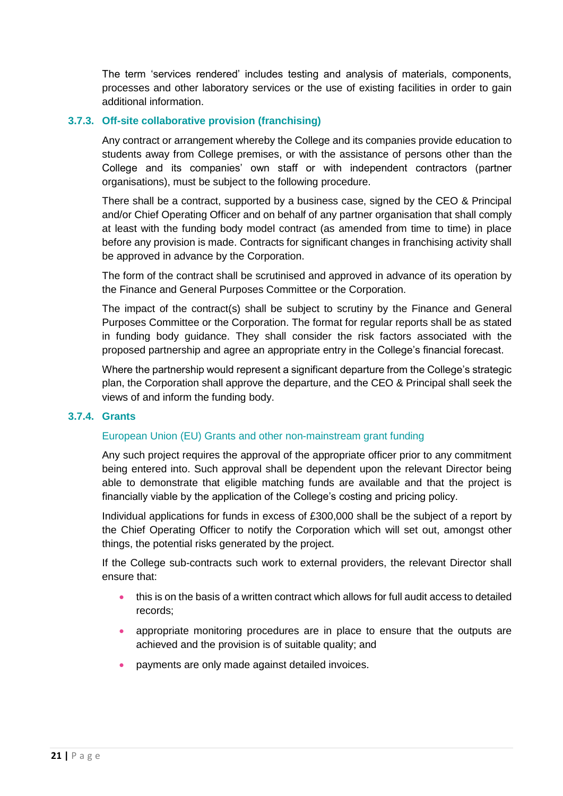The term 'services rendered' includes testing and analysis of materials, components, processes and other laboratory services or the use of existing facilities in order to gain additional information.

#### **3.7.3. Off-site collaborative provision (franchising)**

Any contract or arrangement whereby the College and its companies provide education to students away from College premises, or with the assistance of persons other than the College and its companies' own staff or with independent contractors (partner organisations), must be subject to the following procedure.

There shall be a contract, supported by a business case, signed by the CEO & Principal and/or Chief Operating Officer and on behalf of any partner organisation that shall comply at least with the funding body model contract (as amended from time to time) in place before any provision is made. Contracts for significant changes in franchising activity shall be approved in advance by the Corporation.

The form of the contract shall be scrutinised and approved in advance of its operation by the Finance and General Purposes Committee or the Corporation.

The impact of the contract(s) shall be subject to scrutiny by the Finance and General Purposes Committee or the Corporation. The format for regular reports shall be as stated in funding body guidance. They shall consider the risk factors associated with the proposed partnership and agree an appropriate entry in the College's financial forecast.

Where the partnership would represent a significant departure from the College's strategic plan, the Corporation shall approve the departure, and the CEO & Principal shall seek the views of and inform the funding body.

#### **3.7.4. Grants**

#### European Union (EU) Grants and other non-mainstream grant funding

Any such project requires the approval of the appropriate officer prior to any commitment being entered into. Such approval shall be dependent upon the relevant Director being able to demonstrate that eligible matching funds are available and that the project is financially viable by the application of the College's costing and pricing policy.

Individual applications for funds in excess of £300,000 shall be the subject of a report by the Chief Operating Officer to notify the Corporation which will set out, amongst other things, the potential risks generated by the project.

If the College sub-contracts such work to external providers, the relevant Director shall ensure that:

- this is on the basis of a written contract which allows for full audit access to detailed records;
- appropriate monitoring procedures are in place to ensure that the outputs are achieved and the provision is of suitable quality; and
- payments are only made against detailed invoices.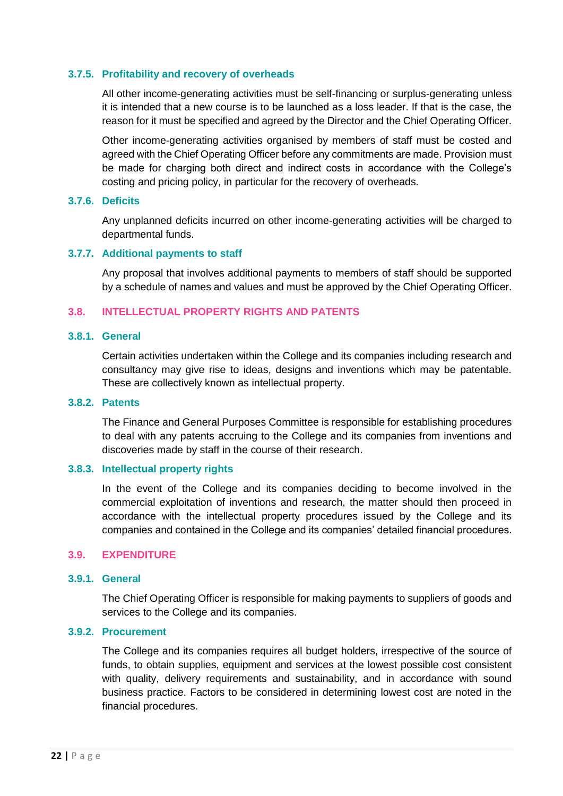#### **3.7.5. Profitability and recovery of overheads**

All other income-generating activities must be self-financing or surplus-generating unless it is intended that a new course is to be launched as a loss leader. If that is the case, the reason for it must be specified and agreed by the Director and the Chief Operating Officer.

Other income-generating activities organised by members of staff must be costed and agreed with the Chief Operating Officer before any commitments are made. Provision must be made for charging both direct and indirect costs in accordance with the College's costing and pricing policy, in particular for the recovery of overheads.

#### **3.7.6. Deficits**

Any unplanned deficits incurred on other income-generating activities will be charged to departmental funds.

#### **3.7.7. Additional payments to staff**

Any proposal that involves additional payments to members of staff should be supported by a schedule of names and values and must be approved by the Chief Operating Officer.

#### <span id="page-21-0"></span>**3.8. INTELLECTUAL PROPERTY RIGHTS AND PATENTS**

#### **3.8.1. General**

Certain activities undertaken within the College and its companies including research and consultancy may give rise to ideas, designs and inventions which may be patentable. These are collectively known as intellectual property.

# **3.8.2. Patents**

The Finance and General Purposes Committee is responsible for establishing procedures to deal with any patents accruing to the College and its companies from inventions and discoveries made by staff in the course of their research.

#### **3.8.3. Intellectual property rights**

In the event of the College and its companies deciding to become involved in the commercial exploitation of inventions and research, the matter should then proceed in accordance with the intellectual property procedures issued by the College and its companies and contained in the College and its companies' detailed financial procedures.

#### <span id="page-21-1"></span>**3.9. EXPENDITURE**

# **3.9.1. General**

The Chief Operating Officer is responsible for making payments to suppliers of goods and services to the College and its companies.

#### **3.9.2. Procurement**

The College and its companies requires all budget holders, irrespective of the source of funds, to obtain supplies, equipment and services at the lowest possible cost consistent with quality, delivery requirements and sustainability, and in accordance with sound business practice. Factors to be considered in determining lowest cost are noted in the financial procedures.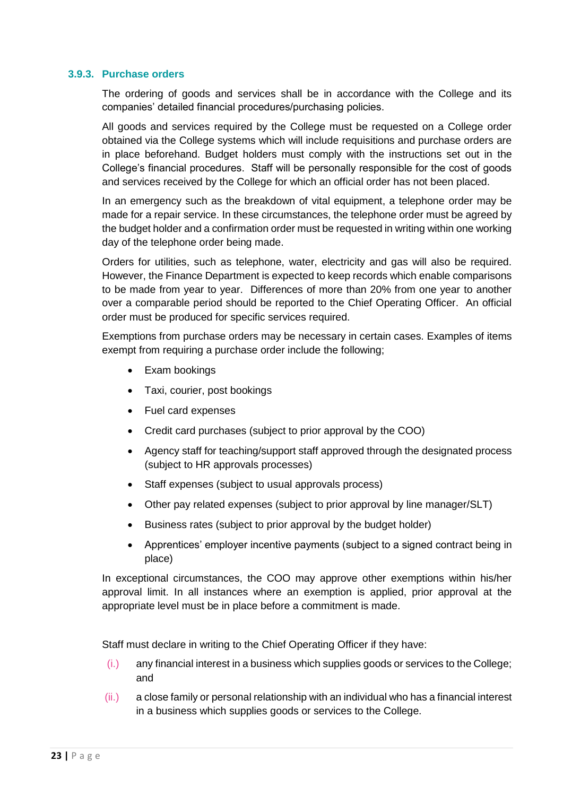### **3.9.3. Purchase orders**

The ordering of goods and services shall be in accordance with the College and its companies' detailed financial procedures/purchasing policies.

All goods and services required by the College must be requested on a College order obtained via the College systems which will include requisitions and purchase orders are in place beforehand. Budget holders must comply with the instructions set out in the College's financial procedures. Staff will be personally responsible for the cost of goods and services received by the College for which an official order has not been placed.

In an emergency such as the breakdown of vital equipment, a telephone order may be made for a repair service. In these circumstances, the telephone order must be agreed by the budget holder and a confirmation order must be requested in writing within one working day of the telephone order being made.

Orders for utilities, such as telephone, water, electricity and gas will also be required. However, the Finance Department is expected to keep records which enable comparisons to be made from year to year. Differences of more than 20% from one year to another over a comparable period should be reported to the Chief Operating Officer. An official order must be produced for specific services required.

Exemptions from purchase orders may be necessary in certain cases. Examples of items exempt from requiring a purchase order include the following;

- Exam bookings
- Taxi, courier, post bookings
- Fuel card expenses
- Credit card purchases (subject to prior approval by the COO)
- Agency staff for teaching/support staff approved through the designated process (subject to HR approvals processes)
- Staff expenses (subject to usual approvals process)
- Other pay related expenses (subject to prior approval by line manager/SLT)
- Business rates (subject to prior approval by the budget holder)
- Apprentices' employer incentive payments (subject to a signed contract being in place)

In exceptional circumstances, the COO may approve other exemptions within his/her approval limit. In all instances where an exemption is applied, prior approval at the appropriate level must be in place before a commitment is made.

Staff must declare in writing to the Chief Operating Officer if they have:

- (i.) any financial interest in a business which supplies goods or services to the College; and
- (ii.) a close family or personal relationship with an individual who has a financial interest in a business which supplies goods or services to the College.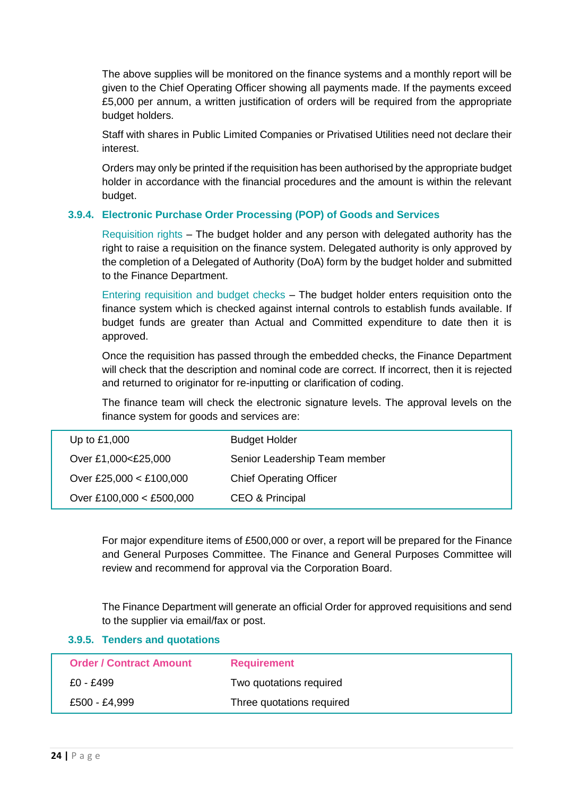The above supplies will be monitored on the finance systems and a monthly report will be given to the Chief Operating Officer showing all payments made. If the payments exceed £5,000 per annum, a written justification of orders will be required from the appropriate budget holders.

Staff with shares in Public Limited Companies or Privatised Utilities need not declare their interest.

Orders may only be printed if the requisition has been authorised by the appropriate budget holder in accordance with the financial procedures and the amount is within the relevant budget.

# **3.9.4. Electronic Purchase Order Processing (POP) of Goods and Services**

Requisition rights – The budget holder and any person with delegated authority has the right to raise a requisition on the finance system. Delegated authority is only approved by the completion of a Delegated of Authority (DoA) form by the budget holder and submitted to the Finance Department.

Entering requisition and budget checks – The budget holder enters requisition onto the finance system which is checked against internal controls to establish funds available. If budget funds are greater than Actual and Committed expenditure to date then it is approved.

Once the requisition has passed through the embedded checks, the Finance Department will check that the description and nominal code are correct. If incorrect, then it is rejected and returned to originator for re-inputting or clarification of coding.

The finance team will check the electronic signature levels. The approval levels on the finance system for goods and services are:

| Up to £1,000             | <b>Budget Holder</b>           |
|--------------------------|--------------------------------|
| Over £1,000<£25,000      | Senior Leadership Team member  |
| Over £25,000 < £100,000  | <b>Chief Operating Officer</b> |
| Over £100,000 < £500,000 | CEO & Principal                |

For major expenditure items of £500,000 or over, a report will be prepared for the Finance and General Purposes Committee. The Finance and General Purposes Committee will review and recommend for approval via the Corporation Board.

The Finance Department will generate an official Order for approved requisitions and send to the supplier via email/fax or post.

|  |  |  | 3.9.5. Tenders and quotations |
|--|--|--|-------------------------------|
|--|--|--|-------------------------------|

| <b>Order / Contract Amount</b> | <b>Requirement</b>        |
|--------------------------------|---------------------------|
| £0 - £499                      | Two quotations required   |
| £500 - £4,999                  | Three quotations required |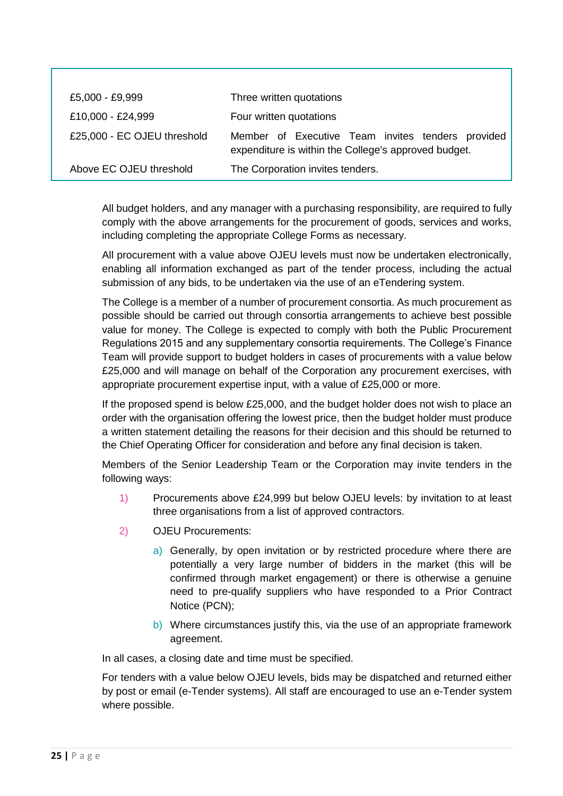| £5,000 - £9,999             | Three written quotations                                                                                  |
|-----------------------------|-----------------------------------------------------------------------------------------------------------|
| £10,000 - £24,999           | Four written quotations                                                                                   |
| £25,000 - EC OJEU threshold | Member of Executive Team invites tenders provided<br>expenditure is within the College's approved budget. |
| Above EC OJEU threshold     | The Corporation invites tenders.                                                                          |

All budget holders, and any manager with a purchasing responsibility, are required to fully comply with the above arrangements for the procurement of goods, services and works, including completing the appropriate College Forms as necessary.

All procurement with a value above OJEU levels must now be undertaken electronically, enabling all information exchanged as part of the tender process, including the actual submission of any bids, to be undertaken via the use of an eTendering system.

The College is a member of a number of procurement consortia. As much procurement as possible should be carried out through consortia arrangements to achieve best possible value for money. The College is expected to comply with both the Public Procurement Regulations 2015 and any supplementary consortia requirements. The College's Finance Team will provide support to budget holders in cases of procurements with a value below £25,000 and will manage on behalf of the Corporation any procurement exercises, with appropriate procurement expertise input, with a value of £25,000 or more.

If the proposed spend is below £25,000, and the budget holder does not wish to place an order with the organisation offering the lowest price, then the budget holder must produce a written statement detailing the reasons for their decision and this should be returned to the Chief Operating Officer for consideration and before any final decision is taken.

Members of the Senior Leadership Team or the Corporation may invite tenders in the following ways:

- 1) Procurements above £24,999 but below OJEU levels: by invitation to at least three organisations from a list of approved contractors.
- 2) OJEU Procurements:
	- a) Generally, by open invitation or by restricted procedure where there are potentially a very large number of bidders in the market (this will be confirmed through market engagement) or there is otherwise a genuine need to pre-qualify suppliers who have responded to a Prior Contract Notice (PCN);
	- b) Where circumstances justify this, via the use of an appropriate framework agreement.

In all cases, a closing date and time must be specified.

For tenders with a value below OJEU levels, bids may be dispatched and returned either by post or email (e-Tender systems). All staff are encouraged to use an e-Tender system where possible.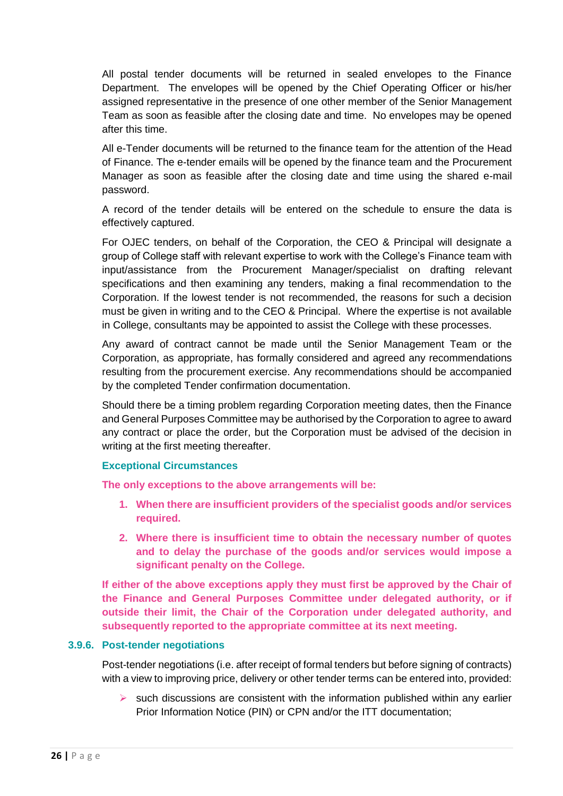All postal tender documents will be returned in sealed envelopes to the Finance Department. The envelopes will be opened by the Chief Operating Officer or his/her assigned representative in the presence of one other member of the Senior Management Team as soon as feasible after the closing date and time. No envelopes may be opened after this time.

All e-Tender documents will be returned to the finance team for the attention of the Head of Finance. The e-tender emails will be opened by the finance team and the Procurement Manager as soon as feasible after the closing date and time using the shared e-mail password.

A record of the tender details will be entered on the schedule to ensure the data is effectively captured.

For OJEC tenders, on behalf of the Corporation, the CEO & Principal will designate a group of College staff with relevant expertise to work with the College's Finance team with input/assistance from the Procurement Manager/specialist on drafting relevant specifications and then examining any tenders, making a final recommendation to the Corporation. If the lowest tender is not recommended, the reasons for such a decision must be given in writing and to the CEO & Principal. Where the expertise is not available in College, consultants may be appointed to assist the College with these processes.

Any award of contract cannot be made until the Senior Management Team or the Corporation, as appropriate, has formally considered and agreed any recommendations resulting from the procurement exercise. Any recommendations should be accompanied by the completed Tender confirmation documentation.

Should there be a timing problem regarding Corporation meeting dates, then the Finance and General Purposes Committee may be authorised by the Corporation to agree to award any contract or place the order, but the Corporation must be advised of the decision in writing at the first meeting thereafter.

#### **Exceptional Circumstances**

**The only exceptions to the above arrangements will be:**

- **1. When there are insufficient providers of the specialist goods and/or services required.**
- **2. Where there is insufficient time to obtain the necessary number of quotes and to delay the purchase of the goods and/or services would impose a significant penalty on the College.**

**If either of the above exceptions apply they must first be approved by the Chair of the Finance and General Purposes Committee under delegated authority, or if outside their limit, the Chair of the Corporation under delegated authority, and subsequently reported to the appropriate committee at its next meeting.**

#### **3.9.6. Post-tender negotiations**

Post-tender negotiations (i.e. after receipt of formal tenders but before signing of contracts) with a view to improving price, delivery or other tender terms can be entered into, provided:

 $\triangleright$  such discussions are consistent with the information published within any earlier Prior Information Notice (PIN) or CPN and/or the ITT documentation;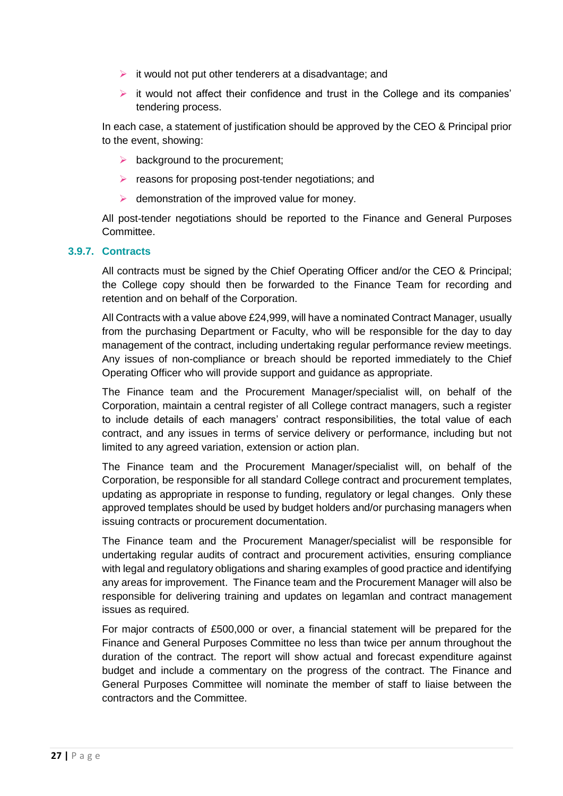- $\triangleright$  it would not put other tenderers at a disadvantage; and
- $\triangleright$  it would not affect their confidence and trust in the College and its companies' tendering process.

In each case, a statement of justification should be approved by the CEO & Principal prior to the event, showing:

- $\triangleright$  background to the procurement;
- $\triangleright$  reasons for proposing post-tender negotiations; and
- $\triangleright$  demonstration of the improved value for money.

All post-tender negotiations should be reported to the Finance and General Purposes **Committee.** 

#### **3.9.7. Contracts**

All contracts must be signed by the Chief Operating Officer and/or the CEO & Principal; the College copy should then be forwarded to the Finance Team for recording and retention and on behalf of the Corporation.

All Contracts with a value above £24,999, will have a nominated Contract Manager, usually from the purchasing Department or Faculty, who will be responsible for the day to day management of the contract, including undertaking regular performance review meetings. Any issues of non-compliance or breach should be reported immediately to the Chief Operating Officer who will provide support and guidance as appropriate.

The Finance team and the Procurement Manager/specialist will, on behalf of the Corporation, maintain a central register of all College contract managers, such a register to include details of each managers' contract responsibilities, the total value of each contract, and any issues in terms of service delivery or performance, including but not limited to any agreed variation, extension or action plan.

The Finance team and the Procurement Manager/specialist will, on behalf of the Corporation, be responsible for all standard College contract and procurement templates, updating as appropriate in response to funding, regulatory or legal changes. Only these approved templates should be used by budget holders and/or purchasing managers when issuing contracts or procurement documentation.

The Finance team and the Procurement Manager/specialist will be responsible for undertaking regular audits of contract and procurement activities, ensuring compliance with legal and regulatory obligations and sharing examples of good practice and identifying any areas for improvement. The Finance team and the Procurement Manager will also be responsible for delivering training and updates on legamlan and contract management issues as required.

For major contracts of £500,000 or over, a financial statement will be prepared for the Finance and General Purposes Committee no less than twice per annum throughout the duration of the contract. The report will show actual and forecast expenditure against budget and include a commentary on the progress of the contract. The Finance and General Purposes Committee will nominate the member of staff to liaise between the contractors and the Committee.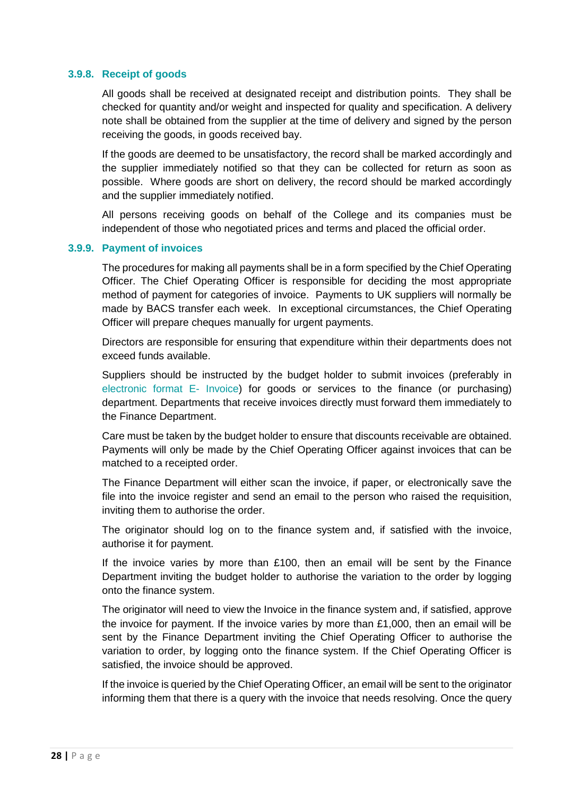#### **3.9.8. Receipt of goods**

All goods shall be received at designated receipt and distribution points. They shall be checked for quantity and/or weight and inspected for quality and specification. A delivery note shall be obtained from the supplier at the time of delivery and signed by the person receiving the goods, in goods received bay.

If the goods are deemed to be unsatisfactory, the record shall be marked accordingly and the supplier immediately notified so that they can be collected for return as soon as possible. Where goods are short on delivery, the record should be marked accordingly and the supplier immediately notified.

All persons receiving goods on behalf of the College and its companies must be independent of those who negotiated prices and terms and placed the official order.

#### **3.9.9. Payment of invoices**

The procedures for making all payments shall be in a form specified by the Chief Operating Officer. The Chief Operating Officer is responsible for deciding the most appropriate method of payment for categories of invoice. Payments to UK suppliers will normally be made by BACS transfer each week. In exceptional circumstances, the Chief Operating Officer will prepare cheques manually for urgent payments.

Directors are responsible for ensuring that expenditure within their departments does not exceed funds available.

Suppliers should be instructed by the budget holder to submit invoices (preferably in electronic format E- Invoice) for goods or services to the finance (or purchasing) department. Departments that receive invoices directly must forward them immediately to the Finance Department.

Care must be taken by the budget holder to ensure that discounts receivable are obtained. Payments will only be made by the Chief Operating Officer against invoices that can be matched to a receipted order.

The Finance Department will either scan the invoice, if paper, or electronically save the file into the invoice register and send an email to the person who raised the requisition, inviting them to authorise the order.

The originator should log on to the finance system and, if satisfied with the invoice, authorise it for payment.

If the invoice varies by more than £100, then an email will be sent by the Finance Department inviting the budget holder to authorise the variation to the order by logging onto the finance system.

The originator will need to view the Invoice in the finance system and, if satisfied, approve the invoice for payment. If the invoice varies by more than  $£1,000$ , then an email will be sent by the Finance Department inviting the Chief Operating Officer to authorise the variation to order, by logging onto the finance system. If the Chief Operating Officer is satisfied, the invoice should be approved.

If the invoice is queried by the Chief Operating Officer, an email will be sent to the originator informing them that there is a query with the invoice that needs resolving. Once the query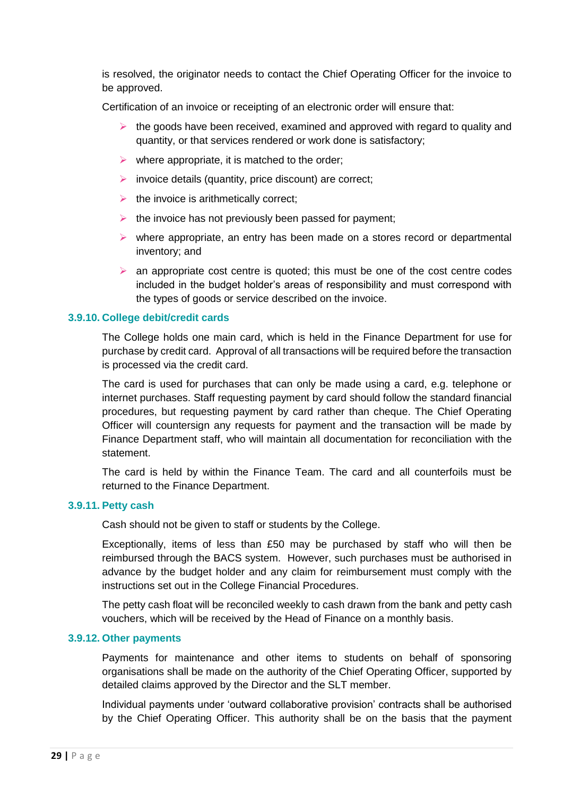is resolved, the originator needs to contact the Chief Operating Officer for the invoice to be approved.

Certification of an invoice or receipting of an electronic order will ensure that:

- $\triangleright$  the goods have been received, examined and approved with regard to quality and quantity, or that services rendered or work done is satisfactory;
- $\triangleright$  where appropriate, it is matched to the order;
- $\triangleright$  invoice details (quantity, price discount) are correct;
- $\triangleright$  the invoice is arithmetically correct;
- $\triangleright$  the invoice has not previously been passed for payment;
- $\triangleright$  where appropriate, an entry has been made on a stores record or departmental inventory; and
- $\triangleright$  an appropriate cost centre is quoted; this must be one of the cost centre codes included in the budget holder's areas of responsibility and must correspond with the types of goods or service described on the invoice.

#### **3.9.10. College debit/credit cards**

The College holds one main card, which is held in the Finance Department for use for purchase by credit card. Approval of all transactions will be required before the transaction is processed via the credit card.

The card is used for purchases that can only be made using a card, e.g. telephone or internet purchases. Staff requesting payment by card should follow the standard financial procedures, but requesting payment by card rather than cheque. The Chief Operating Officer will countersign any requests for payment and the transaction will be made by Finance Department staff, who will maintain all documentation for reconciliation with the statement.

The card is held by within the Finance Team. The card and all counterfoils must be returned to the Finance Department.

#### **3.9.11. Petty cash**

Cash should not be given to staff or students by the College.

Exceptionally, items of less than £50 may be purchased by staff who will then be reimbursed through the BACS system. However, such purchases must be authorised in advance by the budget holder and any claim for reimbursement must comply with the instructions set out in the College Financial Procedures.

The petty cash float will be reconciled weekly to cash drawn from the bank and petty cash vouchers, which will be received by the Head of Finance on a monthly basis.

#### **3.9.12. Other payments**

Payments for maintenance and other items to students on behalf of sponsoring organisations shall be made on the authority of the Chief Operating Officer, supported by detailed claims approved by the Director and the SLT member.

Individual payments under 'outward collaborative provision' contracts shall be authorised by the Chief Operating Officer. This authority shall be on the basis that the payment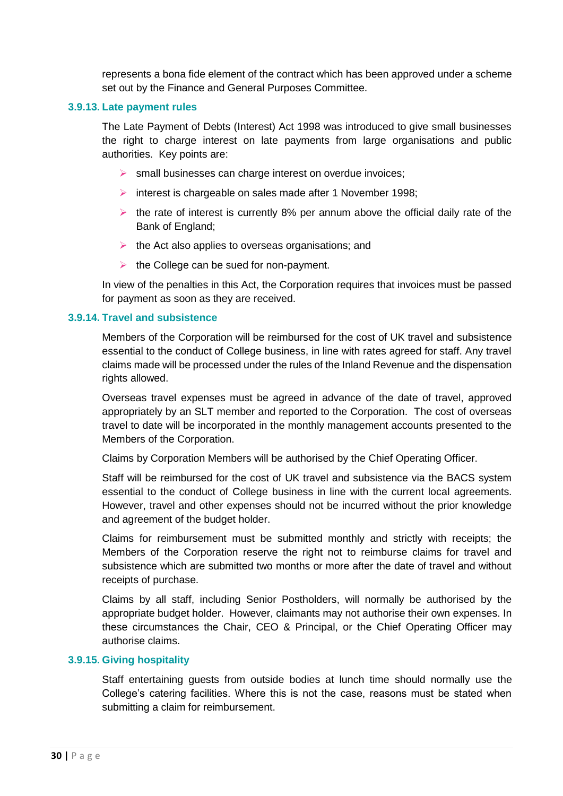represents a bona fide element of the contract which has been approved under a scheme set out by the Finance and General Purposes Committee.

#### **3.9.13. Late payment rules**

The Late Payment of Debts (Interest) Act 1998 was introduced to give small businesses the right to charge interest on late payments from large organisations and public authorities. Key points are:

- $\triangleright$  small businesses can charge interest on overdue invoices;
- interest is chargeable on sales made after 1 November 1998;
- $\triangleright$  the rate of interest is currently 8% per annum above the official daily rate of the Bank of England;
- $\triangleright$  the Act also applies to overseas organisations; and
- $\triangleright$  the College can be sued for non-payment.

In view of the penalties in this Act, the Corporation requires that invoices must be passed for payment as soon as they are received.

#### **3.9.14. Travel and subsistence**

Members of the Corporation will be reimbursed for the cost of UK travel and subsistence essential to the conduct of College business, in line with rates agreed for staff. Any travel claims made will be processed under the rules of the Inland Revenue and the dispensation rights allowed.

Overseas travel expenses must be agreed in advance of the date of travel, approved appropriately by an SLT member and reported to the Corporation. The cost of overseas travel to date will be incorporated in the monthly management accounts presented to the Members of the Corporation.

Claims by Corporation Members will be authorised by the Chief Operating Officer.

Staff will be reimbursed for the cost of UK travel and subsistence via the BACS system essential to the conduct of College business in line with the current local agreements. However, travel and other expenses should not be incurred without the prior knowledge and agreement of the budget holder.

Claims for reimbursement must be submitted monthly and strictly with receipts; the Members of the Corporation reserve the right not to reimburse claims for travel and subsistence which are submitted two months or more after the date of travel and without receipts of purchase.

Claims by all staff, including Senior Postholders, will normally be authorised by the appropriate budget holder. However, claimants may not authorise their own expenses. In these circumstances the Chair, CEO & Principal, or the Chief Operating Officer may authorise claims.

#### **3.9.15. Giving hospitality**

Staff entertaining guests from outside bodies at lunch time should normally use the College's catering facilities. Where this is not the case, reasons must be stated when submitting a claim for reimbursement.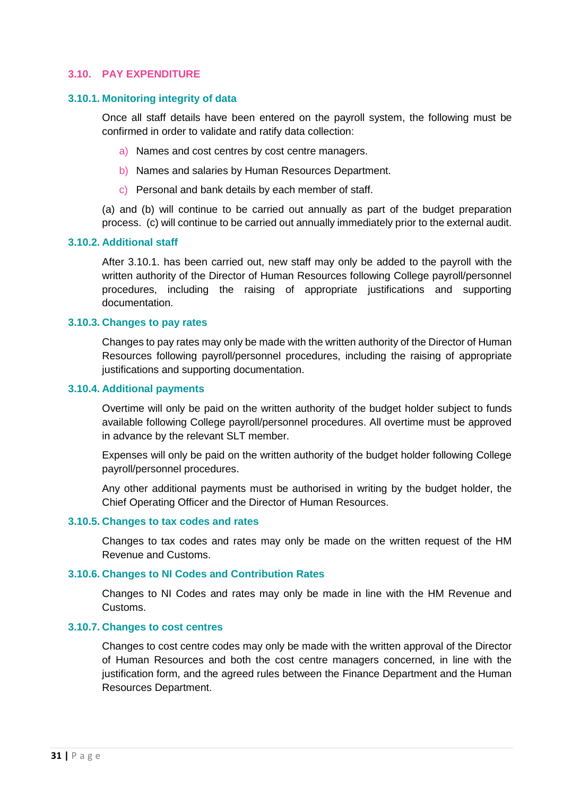#### <span id="page-30-0"></span>**3.10. PAY EXPENDITURE**

#### **3.10.1. Monitoring integrity of data**

Once all staff details have been entered on the payroll system, the following must be confirmed in order to validate and ratify data collection:

- a) Names and cost centres by cost centre managers.
- b) Names and salaries by Human Resources Department.
- c) Personal and bank details by each member of staff.

(a) and (b) will continue to be carried out annually as part of the budget preparation process. (c) will continue to be carried out annually immediately prior to the external audit.

#### **3.10.2. Additional staff**

After 3.10.1. has been carried out, new staff may only be added to the payroll with the written authority of the Director of Human Resources following College payroll/personnel procedures, including the raising of appropriate justifications and supporting documentation.

#### **3.10.3. Changes to pay rates**

Changes to pay rates may only be made with the written authority of the Director of Human Resources following payroll/personnel procedures, including the raising of appropriate justifications and supporting documentation.

#### **3.10.4. Additional payments**

Overtime will only be paid on the written authority of the budget holder subject to funds available following College payroll/personnel procedures. All overtime must be approved in advance by the relevant SLT member.

Expenses will only be paid on the written authority of the budget holder following College payroll/personnel procedures.

Any other additional payments must be authorised in writing by the budget holder, the Chief Operating Officer and the Director of Human Resources.

#### **3.10.5. Changes to tax codes and rates**

Changes to tax codes and rates may only be made on the written request of the HM Revenue and Customs.

#### **3.10.6. Changes to NI Codes and Contribution Rates**

Changes to NI Codes and rates may only be made in line with the HM Revenue and Customs.

#### **3.10.7. Changes to cost centres**

Changes to cost centre codes may only be made with the written approval of the Director of Human Resources and both the cost centre managers concerned, in line with the justification form, and the agreed rules between the Finance Department and the Human Resources Department.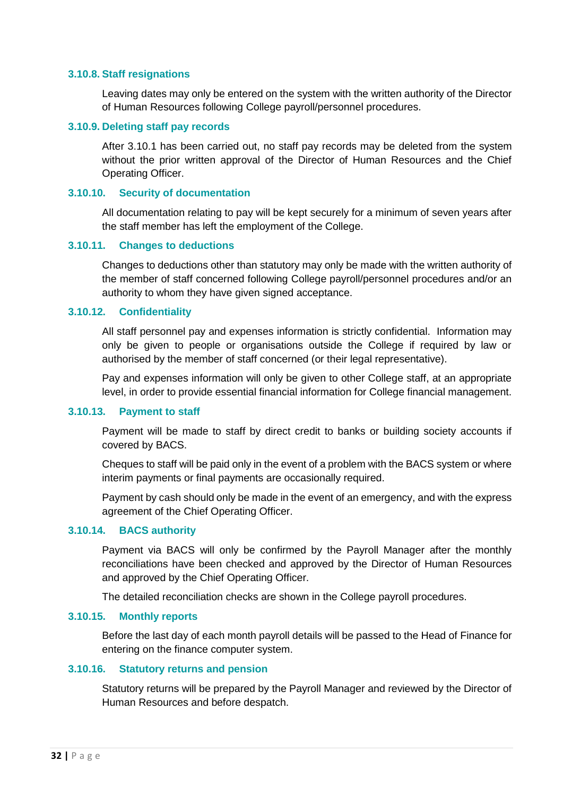#### **3.10.8. Staff resignations**

Leaving dates may only be entered on the system with the written authority of the Director of Human Resources following College payroll/personnel procedures.

#### **3.10.9. Deleting staff pay records**

After 3.10.1 has been carried out, no staff pay records may be deleted from the system without the prior written approval of the Director of Human Resources and the Chief Operating Officer.

#### **3.10.10. Security of documentation**

All documentation relating to pay will be kept securely for a minimum of seven years after the staff member has left the employment of the College.

#### **3.10.11. Changes to deductions**

Changes to deductions other than statutory may only be made with the written authority of the member of staff concerned following College payroll/personnel procedures and/or an authority to whom they have given signed acceptance.

#### **3.10.12. Confidentiality**

All staff personnel pay and expenses information is strictly confidential. Information may only be given to people or organisations outside the College if required by law or authorised by the member of staff concerned (or their legal representative).

Pay and expenses information will only be given to other College staff, at an appropriate level, in order to provide essential financial information for College financial management.

#### **3.10.13. Payment to staff**

Payment will be made to staff by direct credit to banks or building society accounts if covered by BACS.

Cheques to staff will be paid only in the event of a problem with the BACS system or where interim payments or final payments are occasionally required.

Payment by cash should only be made in the event of an emergency, and with the express agreement of the Chief Operating Officer.

# **3.10.14. BACS authority**

Payment via BACS will only be confirmed by the Payroll Manager after the monthly reconciliations have been checked and approved by the Director of Human Resources and approved by the Chief Operating Officer.

The detailed reconciliation checks are shown in the College payroll procedures.

# **3.10.15. Monthly reports**

Before the last day of each month payroll details will be passed to the Head of Finance for entering on the finance computer system.

#### **3.10.16. Statutory returns and pension**

Statutory returns will be prepared by the Payroll Manager and reviewed by the Director of Human Resources and before despatch.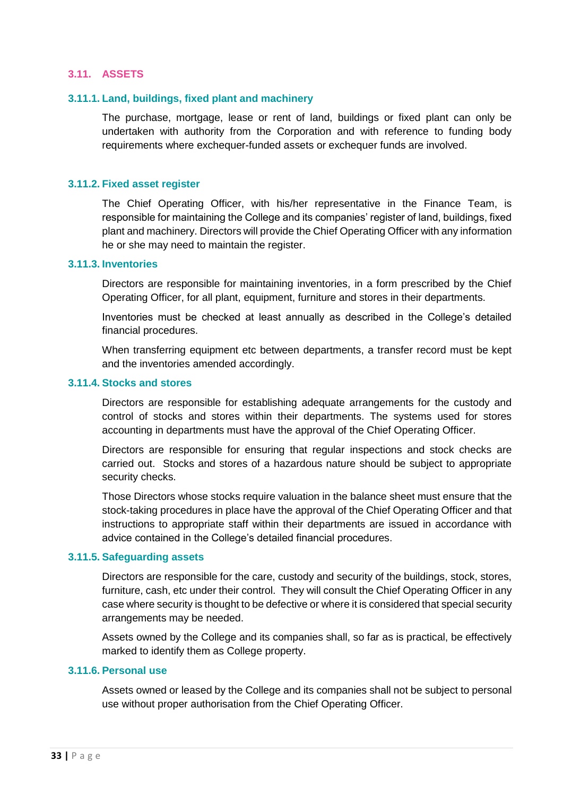#### <span id="page-32-0"></span>**3.11. ASSETS**

#### **3.11.1. Land, buildings, fixed plant and machinery**

The purchase, mortgage, lease or rent of land, buildings or fixed plant can only be undertaken with authority from the Corporation and with reference to funding body requirements where exchequer-funded assets or exchequer funds are involved.

#### **3.11.2. Fixed asset register**

The Chief Operating Officer, with his/her representative in the Finance Team, is responsible for maintaining the College and its companies' register of land, buildings, fixed plant and machinery. Directors will provide the Chief Operating Officer with any information he or she may need to maintain the register.

#### **3.11.3. Inventories**

Directors are responsible for maintaining inventories, in a form prescribed by the Chief Operating Officer, for all plant, equipment, furniture and stores in their departments.

Inventories must be checked at least annually as described in the College's detailed financial procedures.

When transferring equipment etc between departments, a transfer record must be kept and the inventories amended accordingly.

#### **3.11.4. Stocks and stores**

Directors are responsible for establishing adequate arrangements for the custody and control of stocks and stores within their departments. The systems used for stores accounting in departments must have the approval of the Chief Operating Officer.

Directors are responsible for ensuring that regular inspections and stock checks are carried out. Stocks and stores of a hazardous nature should be subject to appropriate security checks.

Those Directors whose stocks require valuation in the balance sheet must ensure that the stock-taking procedures in place have the approval of the Chief Operating Officer and that instructions to appropriate staff within their departments are issued in accordance with advice contained in the College's detailed financial procedures.

#### **3.11.5. Safeguarding assets**

Directors are responsible for the care, custody and security of the buildings, stock, stores, furniture, cash, etc under their control. They will consult the Chief Operating Officer in any case where security is thought to be defective or where it is considered that special security arrangements may be needed.

Assets owned by the College and its companies shall, so far as is practical, be effectively marked to identify them as College property.

#### **3.11.6. Personal use**

Assets owned or leased by the College and its companies shall not be subject to personal use without proper authorisation from the Chief Operating Officer.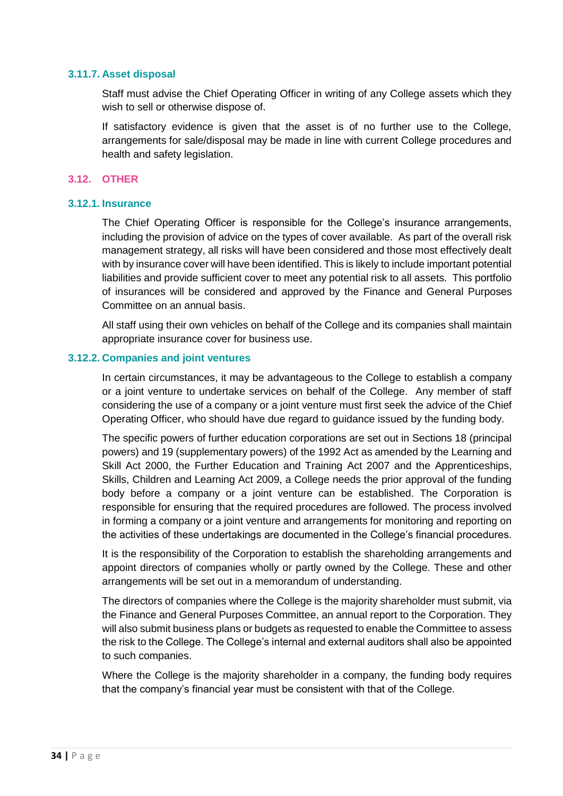#### **3.11.7. Asset disposal**

Staff must advise the Chief Operating Officer in writing of any College assets which they wish to sell or otherwise dispose of.

If satisfactory evidence is given that the asset is of no further use to the College, arrangements for sale/disposal may be made in line with current College procedures and health and safety legislation.

#### <span id="page-33-0"></span>**3.12. OTHER**

### **3.12.1. Insurance**

The Chief Operating Officer is responsible for the College's insurance arrangements, including the provision of advice on the types of cover available. As part of the overall risk management strategy, all risks will have been considered and those most effectively dealt with by insurance cover will have been identified. This is likely to include important potential liabilities and provide sufficient cover to meet any potential risk to all assets. This portfolio of insurances will be considered and approved by the Finance and General Purposes Committee on an annual basis.

All staff using their own vehicles on behalf of the College and its companies shall maintain appropriate insurance cover for business use.

#### **3.12.2. Companies and joint ventures**

In certain circumstances, it may be advantageous to the College to establish a company or a joint venture to undertake services on behalf of the College. Any member of staff considering the use of a company or a joint venture must first seek the advice of the Chief Operating Officer, who should have due regard to guidance issued by the funding body.

The specific powers of further education corporations are set out in Sections 18 (principal powers) and 19 (supplementary powers) of the 1992 Act as amended by the Learning and Skill Act 2000, the Further Education and Training Act 2007 and the Apprenticeships, Skills, Children and Learning Act 2009, a College needs the prior approval of the funding body before a company or a joint venture can be established. The Corporation is responsible for ensuring that the required procedures are followed. The process involved in forming a company or a joint venture and arrangements for monitoring and reporting on the activities of these undertakings are documented in the College's financial procedures.

It is the responsibility of the Corporation to establish the shareholding arrangements and appoint directors of companies wholly or partly owned by the College. These and other arrangements will be set out in a memorandum of understanding.

The directors of companies where the College is the majority shareholder must submit, via the Finance and General Purposes Committee, an annual report to the Corporation. They will also submit business plans or budgets as requested to enable the Committee to assess the risk to the College. The College's internal and external auditors shall also be appointed to such companies.

Where the College is the majority shareholder in a company, the funding body requires that the company's financial year must be consistent with that of the College.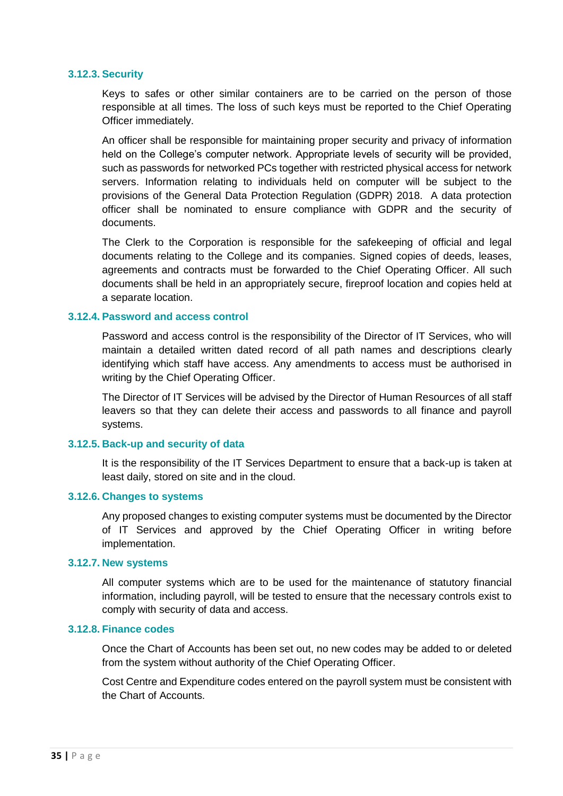#### **3.12.3. Security**

Keys to safes or other similar containers are to be carried on the person of those responsible at all times. The loss of such keys must be reported to the Chief Operating Officer immediately.

An officer shall be responsible for maintaining proper security and privacy of information held on the College's computer network. Appropriate levels of security will be provided, such as passwords for networked PCs together with restricted physical access for network servers. Information relating to individuals held on computer will be subject to the provisions of the General Data Protection Regulation (GDPR) 2018. A data protection officer shall be nominated to ensure compliance with GDPR and the security of documents.

The Clerk to the Corporation is responsible for the safekeeping of official and legal documents relating to the College and its companies. Signed copies of deeds, leases, agreements and contracts must be forwarded to the Chief Operating Officer. All such documents shall be held in an appropriately secure, fireproof location and copies held at a separate location.

#### **3.12.4. Password and access control**

Password and access control is the responsibility of the Director of IT Services, who will maintain a detailed written dated record of all path names and descriptions clearly identifying which staff have access. Any amendments to access must be authorised in writing by the Chief Operating Officer.

The Director of IT Services will be advised by the Director of Human Resources of all staff leavers so that they can delete their access and passwords to all finance and payroll systems.

#### **3.12.5. Back-up and security of data**

It is the responsibility of the IT Services Department to ensure that a back-up is taken at least daily, stored on site and in the cloud.

#### **3.12.6. Changes to systems**

Any proposed changes to existing computer systems must be documented by the Director of IT Services and approved by the Chief Operating Officer in writing before implementation.

#### **3.12.7. New systems**

All computer systems which are to be used for the maintenance of statutory financial information, including payroll, will be tested to ensure that the necessary controls exist to comply with security of data and access.

#### **3.12.8. Finance codes**

Once the Chart of Accounts has been set out, no new codes may be added to or deleted from the system without authority of the Chief Operating Officer.

Cost Centre and Expenditure codes entered on the payroll system must be consistent with the Chart of Accounts.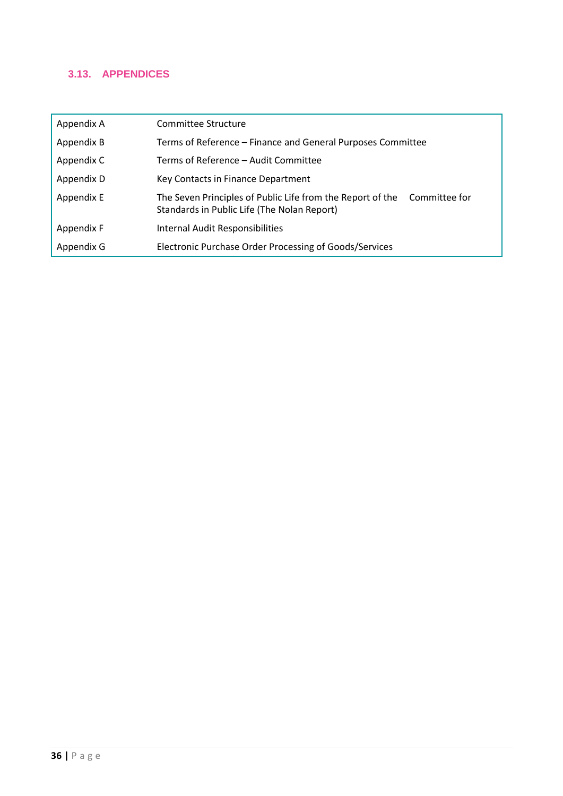# <span id="page-35-0"></span>**3.13. APPENDICES**

| Appendix A | Committee Structure                                                                                                        |
|------------|----------------------------------------------------------------------------------------------------------------------------|
| Appendix B | Terms of Reference – Finance and General Purposes Committee                                                                |
| Appendix C | Terms of Reference - Audit Committee                                                                                       |
| Appendix D | Key Contacts in Finance Department                                                                                         |
| Appendix E | The Seven Principles of Public Life from the Report of the<br>Committee for<br>Standards in Public Life (The Nolan Report) |
| Appendix F | Internal Audit Responsibilities                                                                                            |
| Appendix G | Electronic Purchase Order Processing of Goods/Services                                                                     |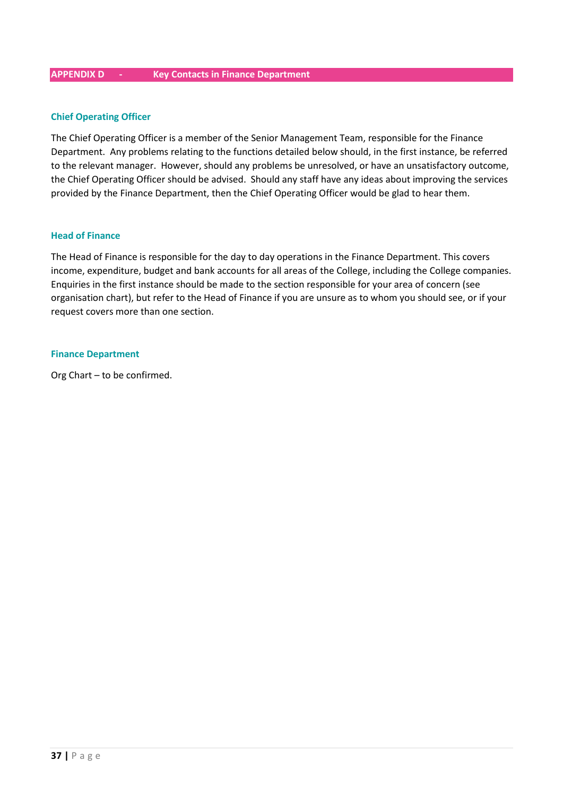#### <span id="page-36-0"></span>**APPENDIX D - Key Contacts in Finance Department**

#### **Chief Operating Officer**

The Chief Operating Officer is a member of the Senior Management Team, responsible for the Finance Department. Any problems relating to the functions detailed below should, in the first instance, be referred to the relevant manager. However, should any problems be unresolved, or have an unsatisfactory outcome, the Chief Operating Officer should be advised. Should any staff have any ideas about improving the services provided by the Finance Department, then the Chief Operating Officer would be glad to hear them.

#### **Head of Finance**

The Head of Finance is responsible for the day to day operations in the Finance Department. This covers income, expenditure, budget and bank accounts for all areas of the College, including the College companies. Enquiries in the first instance should be made to the section responsible for your area of concern (see organisation chart), but refer to the Head of Finance if you are unsure as to whom you should see, or if your request covers more than one section.

#### **Finance Department**

<span id="page-36-1"></span>Org Chart – to be confirmed.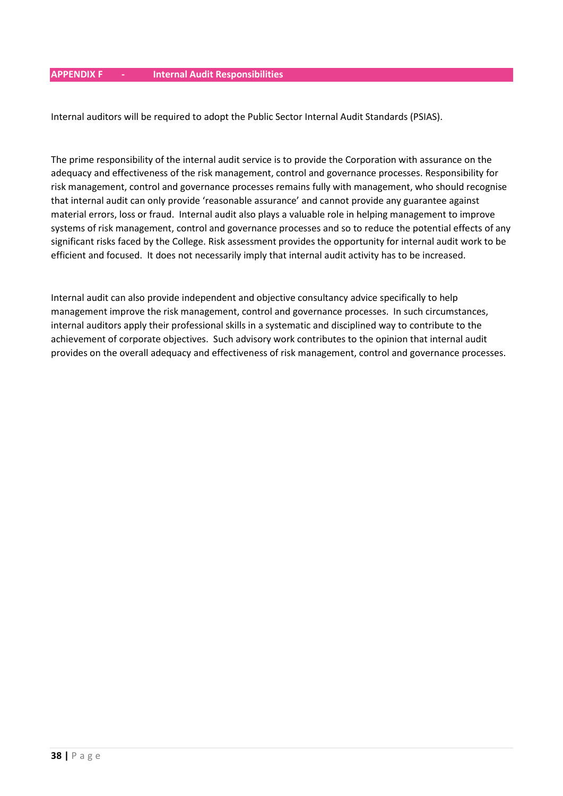<span id="page-37-0"></span>Internal auditors will be required to adopt the Public Sector Internal Audit Standards (PSIAS).

The prime responsibility of the internal audit service is to provide the Corporation with assurance on the adequacy and effectiveness of the risk management, control and governance processes. Responsibility for risk management, control and governance processes remains fully with management, who should recognise that internal audit can only provide 'reasonable assurance' and cannot provide any guarantee against material errors, loss or fraud. Internal audit also plays a valuable role in helping management to improve systems of risk management, control and governance processes and so to reduce the potential effects of any significant risks faced by the College. Risk assessment provides the opportunity for internal audit work to be efficient and focused. It does not necessarily imply that internal audit activity has to be increased.

Internal audit can also provide independent and objective consultancy advice specifically to help management improve the risk management, control and governance processes. In such circumstances, internal auditors apply their professional skills in a systematic and disciplined way to contribute to the achievement of corporate objectives. Such advisory work contributes to the opinion that internal audit provides on the overall adequacy and effectiveness of risk management, control and governance processes.